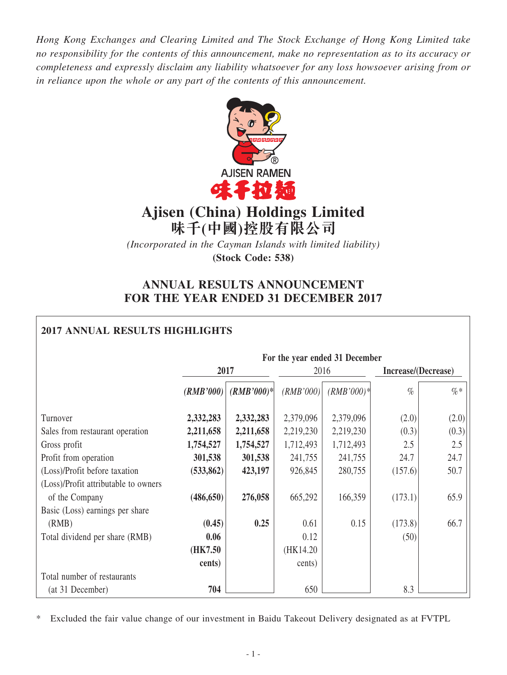*Hong Kong Exchanges and Clearing Limited and The Stock Exchange of Hong Kong Limited take no responsibility for the contents of this announcement, make no representation as to its accuracy or completeness and expressly disclaim any liability whatsoever for any loss howsoever arising from or in reliance upon the whole or any part of the contents of this announcement.*



# **Ajisen (China) Holdings Limited 味千(中國)控股有限公司**

*(Incorporated in the Cayman Islands with limited liability)* **(Stock Code: 538)**

# **ANNUAL RESULTS ANNOUNCEMENT FOR THE YEAR ENDED 31 DECEMBER 2017**

# **2017 ANNUAL RESULTS HIGHLIGHTS**

|                                      | For the year ended 31 December |              |           |              |                     |        |  |
|--------------------------------------|--------------------------------|--------------|-----------|--------------|---------------------|--------|--|
|                                      |                                | 2017         | 2016      |              | Increase/(Decrease) |        |  |
|                                      | (RMB'000)                      | $(RMB'000)*$ | (RMB'000) | $(RMB'000)*$ | $\%$                | $\% *$ |  |
| Turnover                             | 2,332,283                      | 2,332,283    | 2,379,096 | 2,379,096    | (2.0)               | (2.0)  |  |
| Sales from restaurant operation      | 2,211,658                      | 2,211,658    | 2,219,230 | 2,219,230    | (0.3)               | (0.3)  |  |
| Gross profit                         | 1,754,527                      | 1,754,527    | 1,712,493 | 1,712,493    | 2.5                 | 2.5    |  |
| Profit from operation                | 301,538                        | 301,538      | 241,755   | 241,755      | 24.7                | 24.7   |  |
| (Loss)/Profit before taxation        | (533, 862)                     | 423,197      | 926,845   | 280,755      | (157.6)             | 50.7   |  |
| (Loss)/Profit attributable to owners |                                |              |           |              |                     |        |  |
| of the Company                       | (486, 650)                     | 276,058      | 665,292   | 166,359      | (173.1)             | 65.9   |  |
| Basic (Loss) earnings per share      |                                |              |           |              |                     |        |  |
| (RMB)                                | (0.45)                         | 0.25         | 0.61      | 0.15         | (173.8)             | 66.7   |  |
| Total dividend per share (RMB)       | 0.06                           |              | 0.12      |              | (50)                |        |  |
|                                      | (HK7.50)                       |              | (HK14.20) |              |                     |        |  |
|                                      | cents)                         |              | cents)    |              |                     |        |  |
| Total number of restaurants          |                                |              |           |              |                     |        |  |
| (at 31 December)                     | 704                            |              | 650       |              | 8.3                 |        |  |

\* Excluded the fair value change of our investment in Baidu Takeout Delivery designated as at FVTPL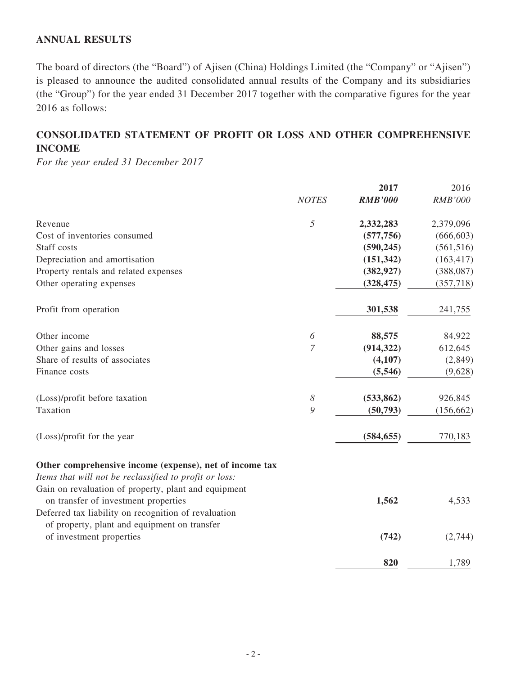# **ANNUAL RESULTS**

The board of directors (the "Board") of Ajisen (China) Holdings Limited (the "Company" or "Ajisen") is pleased to announce the audited consolidated annual results of the Company and its subsidiaries (the "Group") for the year ended 31 December 2017 together with the comparative figures for the year 2016 as follows:

# **CONSOLIDATED STATEMENT OF PROFIT OR LOSS AND OTHER COMPREHENSIVE INCOME**

*For the year ended 31 December 2017*

|                                                                                                                   |                | 2017           | 2016       |
|-------------------------------------------------------------------------------------------------------------------|----------------|----------------|------------|
|                                                                                                                   | <b>NOTES</b>   | <b>RMB'000</b> | RMB'000    |
| Revenue                                                                                                           | 5              | 2,332,283      | 2,379,096  |
| Cost of inventories consumed                                                                                      |                | (577, 756)     | (666, 603) |
| Staff costs                                                                                                       |                | (590, 245)     | (561, 516) |
| Depreciation and amortisation                                                                                     |                | (151, 342)     | (163, 417) |
| Property rentals and related expenses                                                                             |                | (382, 927)     | (388,087)  |
| Other operating expenses                                                                                          |                | (328, 475)     | (357,718)  |
| Profit from operation                                                                                             |                | 301,538        | 241,755    |
| Other income                                                                                                      | 6              | 88,575         | 84,922     |
| Other gains and losses                                                                                            | $\overline{7}$ | (914, 322)     | 612,645    |
| Share of results of associates                                                                                    |                | (4,107)        | (2,849)    |
| Finance costs                                                                                                     |                | (5, 546)       | (9,628)    |
| (Loss)/profit before taxation                                                                                     | 8              | (533, 862)     | 926,845    |
| Taxation                                                                                                          | 9              | (50, 793)      | (156, 662) |
| (Loss)/profit for the year                                                                                        |                | (584, 655)     | 770,183    |
| Other comprehensive income (expense), net of income tax<br>Items that will not be reclassified to profit or loss: |                |                |            |
| Gain on revaluation of property, plant and equipment                                                              |                |                |            |
| on transfer of investment properties                                                                              |                | 1,562          | 4,533      |
| Deferred tax liability on recognition of revaluation<br>of property, plant and equipment on transfer              |                |                |            |
| of investment properties                                                                                          |                | (742)          | (2,744)    |
|                                                                                                                   |                | 820            | 1,789      |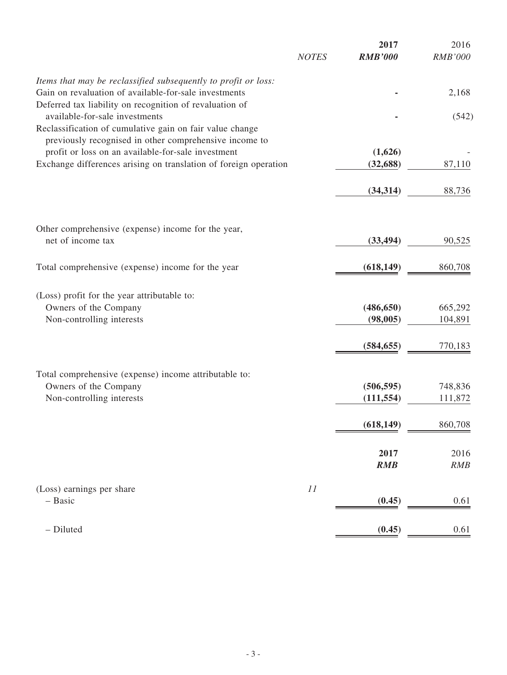|                                                                                                                    | <b>NOTES</b> | 2017<br><b>RMB'000</b> | 2016<br><b>RMB'000</b> |
|--------------------------------------------------------------------------------------------------------------------|--------------|------------------------|------------------------|
| Items that may be reclassified subsequently to profit or loss:                                                     |              |                        |                        |
| Gain on revaluation of available-for-sale investments<br>Deferred tax liability on recognition of revaluation of   |              |                        | 2,168                  |
| available-for-sale investments                                                                                     |              |                        | (542)                  |
| Reclassification of cumulative gain on fair value change<br>previously recognised in other comprehensive income to |              |                        |                        |
| profit or loss on an available-for-sale investment                                                                 |              | (1,626)                |                        |
| Exchange differences arising on translation of foreign operation                                                   |              | (32, 688)              | 87,110                 |
|                                                                                                                    |              | (34, 314)              | 88,736                 |
|                                                                                                                    |              |                        |                        |
| Other comprehensive (expense) income for the year,<br>net of income tax                                            |              | (33, 494)              | 90,525                 |
|                                                                                                                    |              |                        |                        |
| Total comprehensive (expense) income for the year                                                                  |              | (618, 149)             | 860,708                |
| (Loss) profit for the year attributable to:                                                                        |              |                        |                        |
| Owners of the Company                                                                                              |              | (486, 650)             | 665,292                |
| Non-controlling interests                                                                                          |              | (98,005)               | 104,891                |
|                                                                                                                    |              | (584, 655)             | 770,183                |
|                                                                                                                    |              |                        |                        |
| Total comprehensive (expense) income attributable to:<br>Owners of the Company                                     |              | (506, 595)             | 748,836                |
| Non-controlling interests                                                                                          |              | (111, 554)             | 111,872                |
|                                                                                                                    |              |                        |                        |
|                                                                                                                    |              | (618, 149)             | 860,708                |
|                                                                                                                    |              | 2017                   | 2016                   |
|                                                                                                                    |              | <b>RMB</b>             | RMB                    |
| (Loss) earnings per share                                                                                          | 11           |                        |                        |
| - Basic                                                                                                            |              | (0.45)                 | 0.61                   |
| - Diluted                                                                                                          |              | (0.45)                 | 0.61                   |
|                                                                                                                    |              |                        |                        |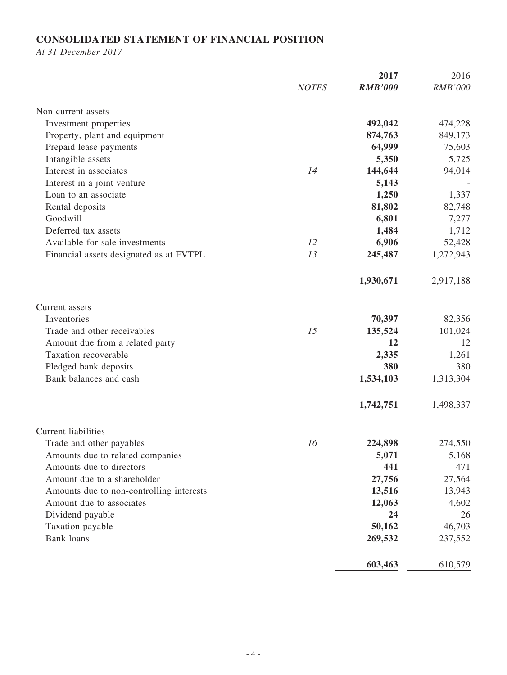# **CONSOLIDATED STATEMENT OF FINANCIAL POSITION**

*At 31 December 2017*

|                                          |              | 2017           | 2016           |
|------------------------------------------|--------------|----------------|----------------|
|                                          | <b>NOTES</b> | <b>RMB'000</b> | <b>RMB'000</b> |
| Non-current assets                       |              |                |                |
| Investment properties                    |              | 492,042        | 474,228        |
| Property, plant and equipment            |              | 874,763        | 849,173        |
| Prepaid lease payments                   |              | 64,999         | 75,603         |
| Intangible assets                        |              | 5,350          | 5,725          |
| Interest in associates                   | 14           | 144,644        | 94,014         |
| Interest in a joint venture              |              | 5,143          |                |
| Loan to an associate                     |              | 1,250          | 1,337          |
| Rental deposits                          |              | 81,802         | 82,748         |
| Goodwill                                 |              | 6,801          | 7,277          |
| Deferred tax assets                      |              | 1,484          | 1,712          |
| Available-for-sale investments           | 12           | 6,906          | 52,428         |
| Financial assets designated as at FVTPL  | 13           | 245,487        | 1,272,943      |
|                                          |              | 1,930,671      | 2,917,188      |
| Current assets                           |              |                |                |
| Inventories                              |              | 70,397         | 82,356         |
| Trade and other receivables              | 15           | 135,524        | 101,024        |
| Amount due from a related party          |              | 12             | 12             |
| Taxation recoverable                     |              | 2,335          | 1,261          |
| Pledged bank deposits                    |              | 380            | 380            |
| Bank balances and cash                   |              | 1,534,103      | 1,313,304      |
|                                          |              | 1,742,751      | 1,498,337      |
| <b>Current liabilities</b>               |              |                |                |
| Trade and other payables                 | 16           | 224,898        | 274,550        |
| Amounts due to related companies         |              | 5,071          | 5,168          |
| Amounts due to directors                 |              | 441            | 471            |
| Amount due to a shareholder              |              | 27,756         | 27,564         |
| Amounts due to non-controlling interests |              | 13,516         | 13,943         |
| Amount due to associates                 |              | 12,063         | 4,602          |
| Dividend payable                         |              | 24             | 26             |
| Taxation payable                         |              | 50,162         | 46,703         |
| <b>Bank</b> loans                        |              | 269,532        | 237,552        |
|                                          |              | 603,463        | 610,579        |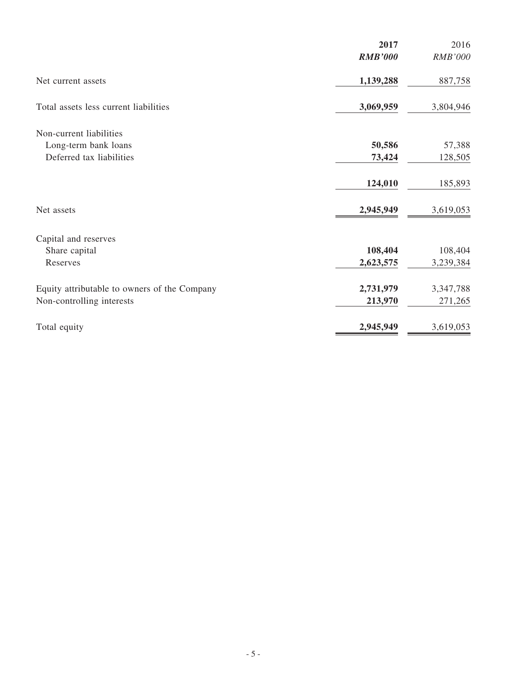| 2017           | 2016                 |
|----------------|----------------------|
| <b>RMB'000</b> | RMB'000              |
| 1,139,288      | 887,758              |
| 3,069,959      | 3,804,946            |
|                |                      |
| 50,586         | 57,388               |
| 73,424         | 128,505              |
| 124,010        | 185,893              |
| 2,945,949      | 3,619,053            |
|                |                      |
|                | 108,404              |
| 2,623,575      | 3,239,384            |
|                | 3,347,788            |
| 213,970        | 271,265              |
| 2,945,949      | 3,619,053            |
|                | 108,404<br>2,731,979 |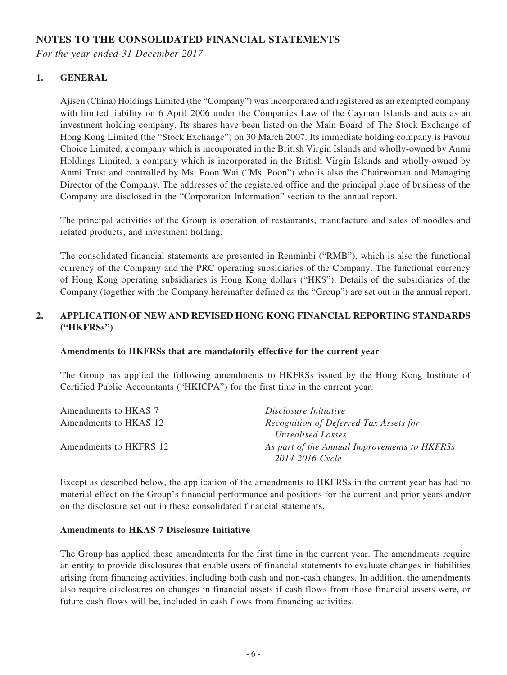# **NOTES TO THE CONSOLIDATED FINANCIAL STATEMENTS**

*For the year ended 31 December 2017*

### **1. GENERAL**

Ajisen (China) Holdings Limited (the "Company") was incorporated and registered as an exempted company with limited liability on 6 April 2006 under the Companies Law of the Cayman Islands and acts as an investment holding company. Its shares have been listed on the Main Board of The Stock Exchange of Hong Kong Limited (the "Stock Exchange") on 30 March 2007. Its immediate holding company is Favour Choice Limited, a company which is incorporated in the British Virgin Islands and wholly-owned by Anmi Holdings Limited, a company which is incorporated in the British Virgin Islands and wholly-owned by Anmi Trust and controlled by Ms. Poon Wai ("Ms. Poon") who is also the Chairwoman and Managing Director of the Company. The addresses of the registered office and the principal place of business of the Company are disclosed in the "Corporation Information" section to the annual report.

The principal activities of the Group is operation of restaurants, manufacture and sales of noodles and related products, and investment holding.

The consolidated financial statements are presented in Renminbi ("RMB"), which is also the functional currency of the Company and the PRC operating subsidiaries of the Company. The functional currency of Hong Kong operating subsidiaries is Hong Kong dollars ("HK\$"). Details of the subsidiaries of the Company (together with the Company hereinafter defined as the "Group") are set out in the annual report.

### **2. APPLICATION OF NEW AND REVISED HONG KONG FINANCIAL REPORTING STANDARDS ("HKFRSs")**

### **Amendments to HKFRSs that are mandatorily effective for the current year**

The Group has applied the following amendments to HKFRSs issued by the Hong Kong Institute of Certified Public Accountants ("HKICPA") for the first time in the current year.

| Amendments to HKAS 7   | Disclosure Initiative                        |
|------------------------|----------------------------------------------|
| Amendments to HKAS 12  | Recognition of Deferred Tax Assets for       |
|                        | Unrealised Losses                            |
| Amendments to HKFRS 12 | As part of the Annual Improvements to HKFRSs |
|                        | 2014-2016 Cycle                              |

Except as described below, the application of the amendments to HKFRSs in the current year has had no material effect on the Group's financial performance and positions for the current and prior years and/or on the disclosure set out in these consolidated financial statements.

### **Amendments to HKAS 7 Disclosure Initiative**

The Group has applied these amendments for the first time in the current year. The amendments require an entity to provide disclosures that enable users of financial statements to evaluate changes in liabilities arising from financing activities, including both cash and non-cash changes. In addition, the amendments also require disclosures on changes in financial assets if cash flows from those financial assets were, or future cash flows will be, included in cash flows from financing activities.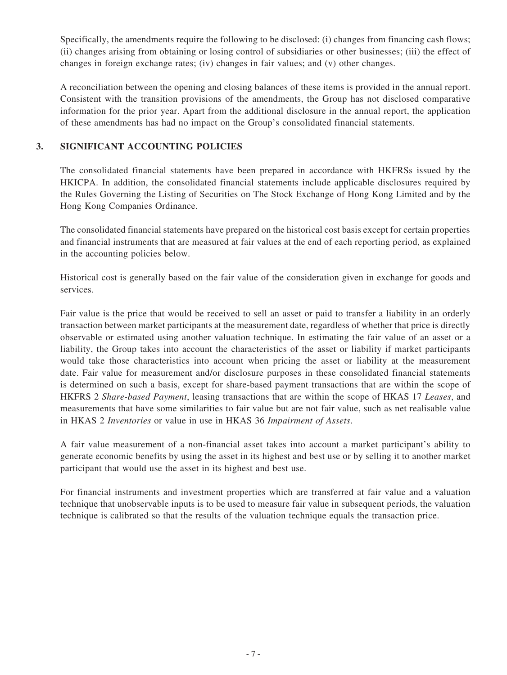Specifically, the amendments require the following to be disclosed: (i) changes from financing cash flows; (ii) changes arising from obtaining or losing control of subsidiaries or other businesses; (iii) the effect of changes in foreign exchange rates; (iv) changes in fair values; and (v) other changes.

A reconciliation between the opening and closing balances of these items is provided in the annual report. Consistent with the transition provisions of the amendments, the Group has not disclosed comparative information for the prior year. Apart from the additional disclosure in the annual report, the application of these amendments has had no impact on the Group's consolidated financial statements.

### **3. SIGNIFICANT ACCOUNTING POLICIES**

The consolidated financial statements have been prepared in accordance with HKFRSs issued by the HKICPA. In addition, the consolidated financial statements include applicable disclosures required by the Rules Governing the Listing of Securities on The Stock Exchange of Hong Kong Limited and by the Hong Kong Companies Ordinance.

The consolidated financial statements have prepared on the historical cost basis except for certain properties and financial instruments that are measured at fair values at the end of each reporting period, as explained in the accounting policies below.

Historical cost is generally based on the fair value of the consideration given in exchange for goods and services.

Fair value is the price that would be received to sell an asset or paid to transfer a liability in an orderly transaction between market participants at the measurement date, regardless of whether that price is directly observable or estimated using another valuation technique. In estimating the fair value of an asset or a liability, the Group takes into account the characteristics of the asset or liability if market participants would take those characteristics into account when pricing the asset or liability at the measurement date. Fair value for measurement and/or disclosure purposes in these consolidated financial statements is determined on such a basis, except for share-based payment transactions that are within the scope of HKFRS 2 *Share-based Payment*, leasing transactions that are within the scope of HKAS 17 *Leases*, and measurements that have some similarities to fair value but are not fair value, such as net realisable value in HKAS 2 *Inventories* or value in use in HKAS 36 *Impairment of Assets*.

A fair value measurement of a non-financial asset takes into account a market participant's ability to generate economic benefits by using the asset in its highest and best use or by selling it to another market participant that would use the asset in its highest and best use.

For financial instruments and investment properties which are transferred at fair value and a valuation technique that unobservable inputs is to be used to measure fair value in subsequent periods, the valuation technique is calibrated so that the results of the valuation technique equals the transaction price.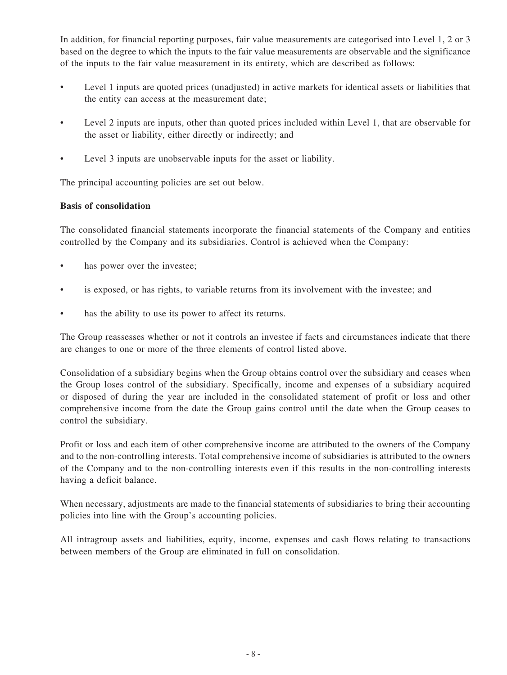In addition, for financial reporting purposes, fair value measurements are categorised into Level 1, 2 or 3 based on the degree to which the inputs to the fair value measurements are observable and the significance of the inputs to the fair value measurement in its entirety, which are described as follows:

- Level 1 inputs are quoted prices (unadjusted) in active markets for identical assets or liabilities that the entity can access at the measurement date;
- Level 2 inputs are inputs, other than quoted prices included within Level 1, that are observable for the asset or liability, either directly or indirectly; and
- Level 3 inputs are unobservable inputs for the asset or liability.

The principal accounting policies are set out below.

### **Basis of consolidation**

The consolidated financial statements incorporate the financial statements of the Company and entities controlled by the Company and its subsidiaries. Control is achieved when the Company:

- has power over the investee;
- is exposed, or has rights, to variable returns from its involvement with the investee; and
- has the ability to use its power to affect its returns.

The Group reassesses whether or not it controls an investee if facts and circumstances indicate that there are changes to one or more of the three elements of control listed above.

Consolidation of a subsidiary begins when the Group obtains control over the subsidiary and ceases when the Group loses control of the subsidiary. Specifically, income and expenses of a subsidiary acquired or disposed of during the year are included in the consolidated statement of profit or loss and other comprehensive income from the date the Group gains control until the date when the Group ceases to control the subsidiary.

Profit or loss and each item of other comprehensive income are attributed to the owners of the Company and to the non-controlling interests. Total comprehensive income of subsidiaries is attributed to the owners of the Company and to the non-controlling interests even if this results in the non-controlling interests having a deficit balance.

When necessary, adjustments are made to the financial statements of subsidiaries to bring their accounting policies into line with the Group's accounting policies.

All intragroup assets and liabilities, equity, income, expenses and cash flows relating to transactions between members of the Group are eliminated in full on consolidation.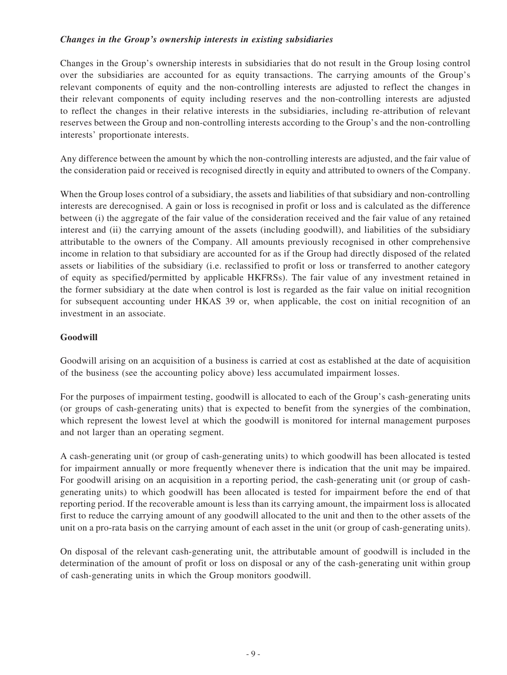### *Changes in the Group's ownership interests in existing subsidiaries*

Changes in the Group's ownership interests in subsidiaries that do not result in the Group losing control over the subsidiaries are accounted for as equity transactions. The carrying amounts of the Group's relevant components of equity and the non-controlling interests are adjusted to reflect the changes in their relevant components of equity including reserves and the non-controlling interests are adjusted to reflect the changes in their relative interests in the subsidiaries, including re-attribution of relevant reserves between the Group and non-controlling interests according to the Group's and the non-controlling interests' proportionate interests.

Any difference between the amount by which the non-controlling interests are adjusted, and the fair value of the consideration paid or received is recognised directly in equity and attributed to owners of the Company.

When the Group loses control of a subsidiary, the assets and liabilities of that subsidiary and non-controlling interests are derecognised. A gain or loss is recognised in profit or loss and is calculated as the difference between (i) the aggregate of the fair value of the consideration received and the fair value of any retained interest and (ii) the carrying amount of the assets (including goodwill), and liabilities of the subsidiary attributable to the owners of the Company. All amounts previously recognised in other comprehensive income in relation to that subsidiary are accounted for as if the Group had directly disposed of the related assets or liabilities of the subsidiary (i.e. reclassified to profit or loss or transferred to another category of equity as specified/permitted by applicable HKFRSs). The fair value of any investment retained in the former subsidiary at the date when control is lost is regarded as the fair value on initial recognition for subsequent accounting under HKAS 39 or, when applicable, the cost on initial recognition of an investment in an associate.

### **Goodwill**

Goodwill arising on an acquisition of a business is carried at cost as established at the date of acquisition of the business (see the accounting policy above) less accumulated impairment losses.

For the purposes of impairment testing, goodwill is allocated to each of the Group's cash-generating units (or groups of cash-generating units) that is expected to benefit from the synergies of the combination, which represent the lowest level at which the goodwill is monitored for internal management purposes and not larger than an operating segment.

A cash-generating unit (or group of cash-generating units) to which goodwill has been allocated is tested for impairment annually or more frequently whenever there is indication that the unit may be impaired. For goodwill arising on an acquisition in a reporting period, the cash-generating unit (or group of cashgenerating units) to which goodwill has been allocated is tested for impairment before the end of that reporting period. If the recoverable amount is less than its carrying amount, the impairment loss is allocated first to reduce the carrying amount of any goodwill allocated to the unit and then to the other assets of the unit on a pro-rata basis on the carrying amount of each asset in the unit (or group of cash-generating units).

On disposal of the relevant cash-generating unit, the attributable amount of goodwill is included in the determination of the amount of profit or loss on disposal or any of the cash-generating unit within group of cash-generating units in which the Group monitors goodwill.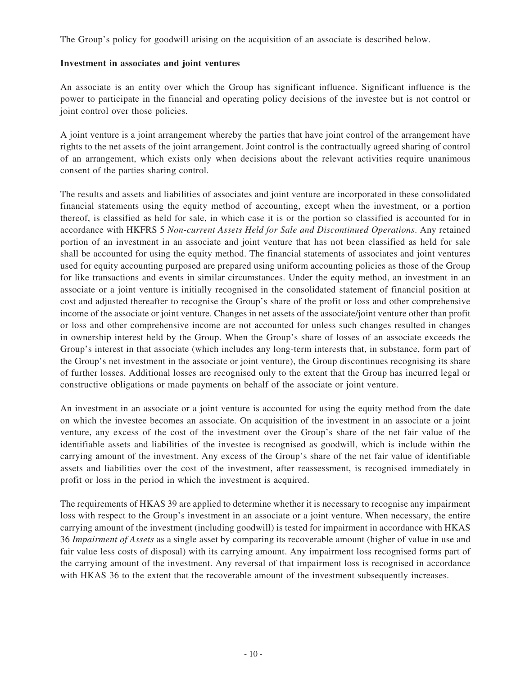The Group's policy for goodwill arising on the acquisition of an associate is described below.

### **Investment in associates and joint ventures**

An associate is an entity over which the Group has significant influence. Significant influence is the power to participate in the financial and operating policy decisions of the investee but is not control or joint control over those policies.

A joint venture is a joint arrangement whereby the parties that have joint control of the arrangement have rights to the net assets of the joint arrangement. Joint control is the contractually agreed sharing of control of an arrangement, which exists only when decisions about the relevant activities require unanimous consent of the parties sharing control.

The results and assets and liabilities of associates and joint venture are incorporated in these consolidated financial statements using the equity method of accounting, except when the investment, or a portion thereof, is classified as held for sale, in which case it is or the portion so classified is accounted for in accordance with HKFRS 5 *Non-current Assets Held for Sale and Discontinued Operations*. Any retained portion of an investment in an associate and joint venture that has not been classified as held for sale shall be accounted for using the equity method. The financial statements of associates and joint ventures used for equity accounting purposed are prepared using uniform accounting policies as those of the Group for like transactions and events in similar circumstances. Under the equity method, an investment in an associate or a joint venture is initially recognised in the consolidated statement of financial position at cost and adjusted thereafter to recognise the Group's share of the profit or loss and other comprehensive income of the associate or joint venture. Changes in net assets of the associate/joint venture other than profit or loss and other comprehensive income are not accounted for unless such changes resulted in changes in ownership interest held by the Group. When the Group's share of losses of an associate exceeds the Group's interest in that associate (which includes any long-term interests that, in substance, form part of the Group's net investment in the associate or joint venture), the Group discontinues recognising its share of further losses. Additional losses are recognised only to the extent that the Group has incurred legal or constructive obligations or made payments on behalf of the associate or joint venture.

An investment in an associate or a joint venture is accounted for using the equity method from the date on which the investee becomes an associate. On acquisition of the investment in an associate or a joint venture, any excess of the cost of the investment over the Group's share of the net fair value of the identifiable assets and liabilities of the investee is recognised as goodwill, which is include within the carrying amount of the investment. Any excess of the Group's share of the net fair value of identifiable assets and liabilities over the cost of the investment, after reassessment, is recognised immediately in profit or loss in the period in which the investment is acquired.

The requirements of HKAS 39 are applied to determine whether it is necessary to recognise any impairment loss with respect to the Group's investment in an associate or a joint venture. When necessary, the entire carrying amount of the investment (including goodwill) is tested for impairment in accordance with HKAS 36 *Impairment of Assets* as a single asset by comparing its recoverable amount (higher of value in use and fair value less costs of disposal) with its carrying amount. Any impairment loss recognised forms part of the carrying amount of the investment. Any reversal of that impairment loss is recognised in accordance with HKAS 36 to the extent that the recoverable amount of the investment subsequently increases.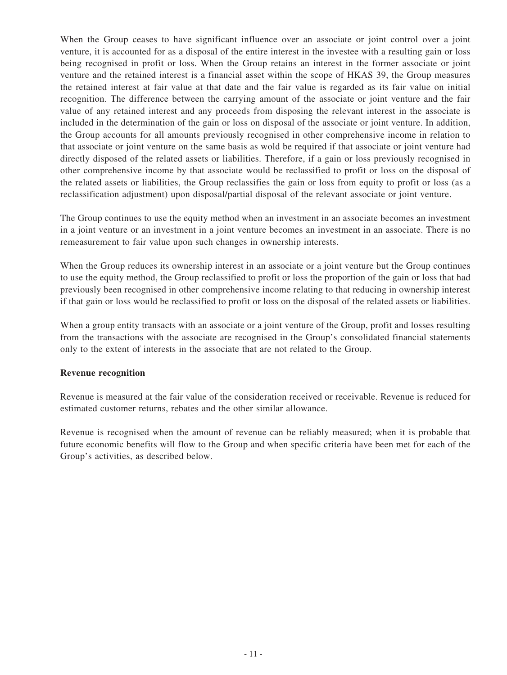When the Group ceases to have significant influence over an associate or joint control over a joint venture, it is accounted for as a disposal of the entire interest in the investee with a resulting gain or loss being recognised in profit or loss. When the Group retains an interest in the former associate or joint venture and the retained interest is a financial asset within the scope of HKAS 39, the Group measures the retained interest at fair value at that date and the fair value is regarded as its fair value on initial recognition. The difference between the carrying amount of the associate or joint venture and the fair value of any retained interest and any proceeds from disposing the relevant interest in the associate is included in the determination of the gain or loss on disposal of the associate or joint venture. In addition, the Group accounts for all amounts previously recognised in other comprehensive income in relation to that associate or joint venture on the same basis as wold be required if that associate or joint venture had directly disposed of the related assets or liabilities. Therefore, if a gain or loss previously recognised in other comprehensive income by that associate would be reclassified to profit or loss on the disposal of the related assets or liabilities, the Group reclassifies the gain or loss from equity to profit or loss (as a reclassification adjustment) upon disposal/partial disposal of the relevant associate or joint venture.

The Group continues to use the equity method when an investment in an associate becomes an investment in a joint venture or an investment in a joint venture becomes an investment in an associate. There is no remeasurement to fair value upon such changes in ownership interests.

When the Group reduces its ownership interest in an associate or a joint venture but the Group continues to use the equity method, the Group reclassified to profit or loss the proportion of the gain or loss that had previously been recognised in other comprehensive income relating to that reducing in ownership interest if that gain or loss would be reclassified to profit or loss on the disposal of the related assets or liabilities.

When a group entity transacts with an associate or a joint venture of the Group, profit and losses resulting from the transactions with the associate are recognised in the Group's consolidated financial statements only to the extent of interests in the associate that are not related to the Group.

### **Revenue recognition**

Revenue is measured at the fair value of the consideration received or receivable. Revenue is reduced for estimated customer returns, rebates and the other similar allowance.

Revenue is recognised when the amount of revenue can be reliably measured; when it is probable that future economic benefits will flow to the Group and when specific criteria have been met for each of the Group's activities, as described below.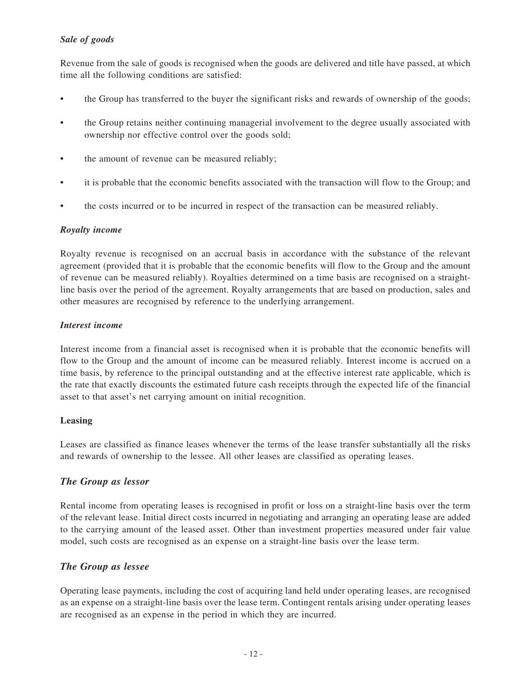### *Sale of goods*

Revenue from the sale of goods is recognised when the goods are delivered and title have passed, at which time all the following conditions are satisfied:

- the Group has transferred to the buyer the significant risks and rewards of ownership of the goods;
- the Group retains neither continuing managerial involvement to the degree usually associated with ownership nor effective control over the goods sold;
- the amount of revenue can be measured reliably;
- it is probable that the economic benefits associated with the transaction will flow to the Group; and
- the costs incurred or to be incurred in respect of the transaction can be measured reliably.

### *Royalty income*

Royalty revenue is recognised on an accrual basis in accordance with the substance of the relevant agreement (provided that it is probable that the economic benefits will flow to the Group and the amount of revenue can be measured reliably). Royalties determined on a time basis are recognised on a straightline basis over the period of the agreement. Royalty arrangements that are based on production, sales and other measures are recognised by reference to the underlying arrangement.

### *Interest income*

Interest income from a financial asset is recognised when it is probable that the economic benefits will flow to the Group and the amount of income can be measured reliably. Interest income is accrued on a time basis, by reference to the principal outstanding and at the effective interest rate applicable, which is the rate that exactly discounts the estimated future cash receipts through the expected life of the financial asset to that asset's net carrying amount on initial recognition.

### **Leasing**

Leases are classified as finance leases whenever the terms of the lease transfer substantially all the risks and rewards of ownership to the lessee. All other leases are classified as operating leases.

### *The Group as lessor*

Rental income from operating leases is recognised in profit or loss on a straight-line basis over the term of the relevant lease. Initial direct costs incurred in negotiating and arranging an operating lease are added to the carrying amount of the leased asset. Other than investment properties measured under fair value model, such costs are recognised as an expense on a straight-line basis over the lease term.

### *The Group as lessee*

Operating lease payments, including the cost of acquiring land held under operating leases, are recognised as an expense on a straight-line basis over the lease term. Contingent rentals arising under operating leases are recognised as an expense in the period in which they are incurred.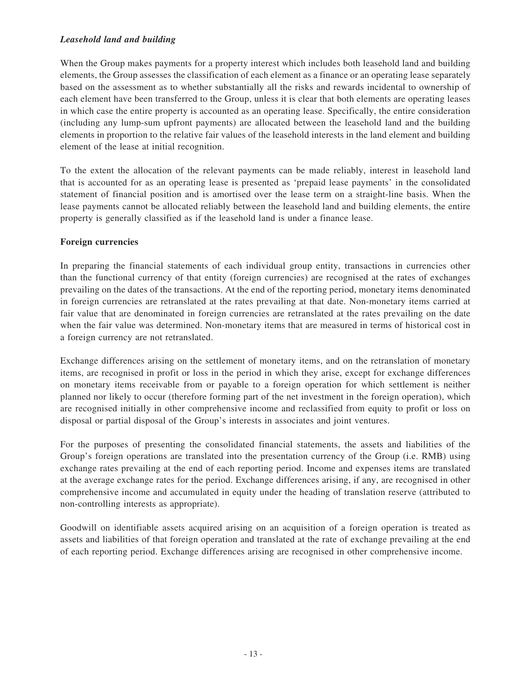### *Leasehold land and building*

When the Group makes payments for a property interest which includes both leasehold land and building elements, the Group assesses the classification of each element as a finance or an operating lease separately based on the assessment as to whether substantially all the risks and rewards incidental to ownership of each element have been transferred to the Group, unless it is clear that both elements are operating leases in which case the entire property is accounted as an operating lease. Specifically, the entire consideration (including any lump-sum upfront payments) are allocated between the leasehold land and the building elements in proportion to the relative fair values of the leasehold interests in the land element and building element of the lease at initial recognition.

To the extent the allocation of the relevant payments can be made reliably, interest in leasehold land that is accounted for as an operating lease is presented as 'prepaid lease payments' in the consolidated statement of financial position and is amortised over the lease term on a straight-line basis. When the lease payments cannot be allocated reliably between the leasehold land and building elements, the entire property is generally classified as if the leasehold land is under a finance lease.

### **Foreign currencies**

In preparing the financial statements of each individual group entity, transactions in currencies other than the functional currency of that entity (foreign currencies) are recognised at the rates of exchanges prevailing on the dates of the transactions. At the end of the reporting period, monetary items denominated in foreign currencies are retranslated at the rates prevailing at that date. Non-monetary items carried at fair value that are denominated in foreign currencies are retranslated at the rates prevailing on the date when the fair value was determined. Non-monetary items that are measured in terms of historical cost in a foreign currency are not retranslated.

Exchange differences arising on the settlement of monetary items, and on the retranslation of monetary items, are recognised in profit or loss in the period in which they arise, except for exchange differences on monetary items receivable from or payable to a foreign operation for which settlement is neither planned nor likely to occur (therefore forming part of the net investment in the foreign operation), which are recognised initially in other comprehensive income and reclassified from equity to profit or loss on disposal or partial disposal of the Group's interests in associates and joint ventures.

For the purposes of presenting the consolidated financial statements, the assets and liabilities of the Group's foreign operations are translated into the presentation currency of the Group (i.e. RMB) using exchange rates prevailing at the end of each reporting period. Income and expenses items are translated at the average exchange rates for the period. Exchange differences arising, if any, are recognised in other comprehensive income and accumulated in equity under the heading of translation reserve (attributed to non-controlling interests as appropriate).

Goodwill on identifiable assets acquired arising on an acquisition of a foreign operation is treated as assets and liabilities of that foreign operation and translated at the rate of exchange prevailing at the end of each reporting period. Exchange differences arising are recognised in other comprehensive income.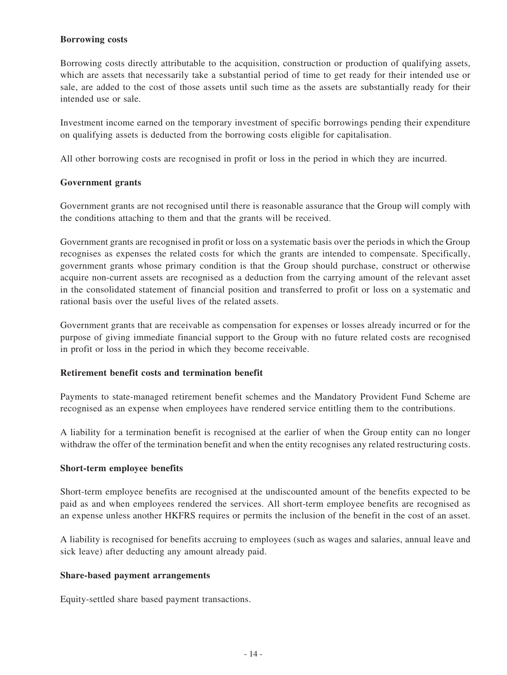### **Borrowing costs**

Borrowing costs directly attributable to the acquisition, construction or production of qualifying assets, which are assets that necessarily take a substantial period of time to get ready for their intended use or sale, are added to the cost of those assets until such time as the assets are substantially ready for their intended use or sale.

Investment income earned on the temporary investment of specific borrowings pending their expenditure on qualifying assets is deducted from the borrowing costs eligible for capitalisation.

All other borrowing costs are recognised in profit or loss in the period in which they are incurred.

### **Government grants**

Government grants are not recognised until there is reasonable assurance that the Group will comply with the conditions attaching to them and that the grants will be received.

Government grants are recognised in profit or loss on a systematic basis over the periods in which the Group recognises as expenses the related costs for which the grants are intended to compensate. Specifically, government grants whose primary condition is that the Group should purchase, construct or otherwise acquire non-current assets are recognised as a deduction from the carrying amount of the relevant asset in the consolidated statement of financial position and transferred to profit or loss on a systematic and rational basis over the useful lives of the related assets.

Government grants that are receivable as compensation for expenses or losses already incurred or for the purpose of giving immediate financial support to the Group with no future related costs are recognised in profit or loss in the period in which they become receivable.

### **Retirement benefit costs and termination benefit**

Payments to state-managed retirement benefit schemes and the Mandatory Provident Fund Scheme are recognised as an expense when employees have rendered service entitling them to the contributions.

A liability for a termination benefit is recognised at the earlier of when the Group entity can no longer withdraw the offer of the termination benefit and when the entity recognises any related restructuring costs.

### **Short-term employee benefits**

Short-term employee benefits are recognised at the undiscounted amount of the benefits expected to be paid as and when employees rendered the services. All short-term employee benefits are recognised as an expense unless another HKFRS requires or permits the inclusion of the benefit in the cost of an asset.

A liability is recognised for benefits accruing to employees (such as wages and salaries, annual leave and sick leave) after deducting any amount already paid.

### **Share-based payment arrangements**

Equity-settled share based payment transactions.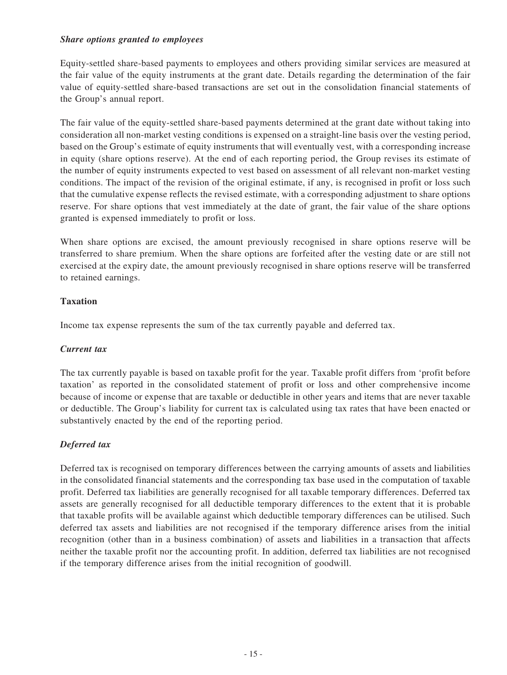### *Share options granted to employees*

Equity-settled share-based payments to employees and others providing similar services are measured at the fair value of the equity instruments at the grant date. Details regarding the determination of the fair value of equity-settled share-based transactions are set out in the consolidation financial statements of the Group's annual report.

The fair value of the equity-settled share-based payments determined at the grant date without taking into consideration all non-market vesting conditions is expensed on a straight-line basis over the vesting period, based on the Group's estimate of equity instruments that will eventually vest, with a corresponding increase in equity (share options reserve). At the end of each reporting period, the Group revises its estimate of the number of equity instruments expected to vest based on assessment of all relevant non-market vesting conditions. The impact of the revision of the original estimate, if any, is recognised in profit or loss such that the cumulative expense reflects the revised estimate, with a corresponding adjustment to share options reserve. For share options that vest immediately at the date of grant, the fair value of the share options granted is expensed immediately to profit or loss.

When share options are excised, the amount previously recognised in share options reserve will be transferred to share premium. When the share options are forfeited after the vesting date or are still not exercised at the expiry date, the amount previously recognised in share options reserve will be transferred to retained earnings.

### **Taxation**

Income tax expense represents the sum of the tax currently payable and deferred tax.

### *Current tax*

The tax currently payable is based on taxable profit for the year. Taxable profit differs from 'profit before taxation' as reported in the consolidated statement of profit or loss and other comprehensive income because of income or expense that are taxable or deductible in other years and items that are never taxable or deductible. The Group's liability for current tax is calculated using tax rates that have been enacted or substantively enacted by the end of the reporting period.

### *Deferred tax*

Deferred tax is recognised on temporary differences between the carrying amounts of assets and liabilities in the consolidated financial statements and the corresponding tax base used in the computation of taxable profit. Deferred tax liabilities are generally recognised for all taxable temporary differences. Deferred tax assets are generally recognised for all deductible temporary differences to the extent that it is probable that taxable profits will be available against which deductible temporary differences can be utilised. Such deferred tax assets and liabilities are not recognised if the temporary difference arises from the initial recognition (other than in a business combination) of assets and liabilities in a transaction that affects neither the taxable profit nor the accounting profit. In addition, deferred tax liabilities are not recognised if the temporary difference arises from the initial recognition of goodwill.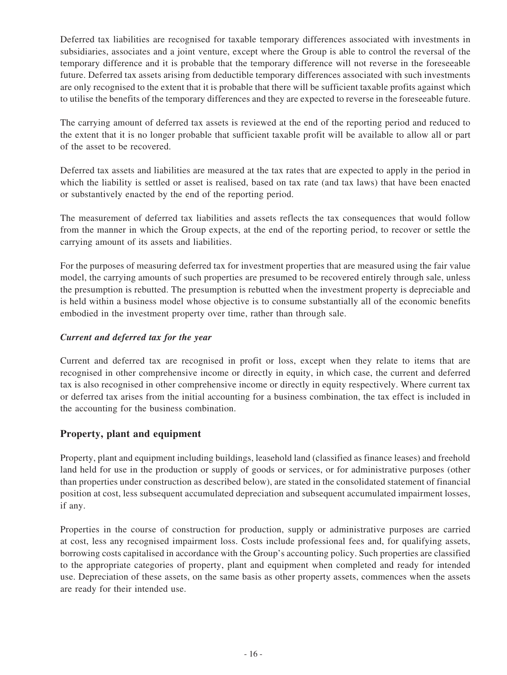Deferred tax liabilities are recognised for taxable temporary differences associated with investments in subsidiaries, associates and a joint venture, except where the Group is able to control the reversal of the temporary difference and it is probable that the temporary difference will not reverse in the foreseeable future. Deferred tax assets arising from deductible temporary differences associated with such investments are only recognised to the extent that it is probable that there will be sufficient taxable profits against which to utilise the benefits of the temporary differences and they are expected to reverse in the foreseeable future.

The carrying amount of deferred tax assets is reviewed at the end of the reporting period and reduced to the extent that it is no longer probable that sufficient taxable profit will be available to allow all or part of the asset to be recovered.

Deferred tax assets and liabilities are measured at the tax rates that are expected to apply in the period in which the liability is settled or asset is realised, based on tax rate (and tax laws) that have been enacted or substantively enacted by the end of the reporting period.

The measurement of deferred tax liabilities and assets reflects the tax consequences that would follow from the manner in which the Group expects, at the end of the reporting period, to recover or settle the carrying amount of its assets and liabilities.

For the purposes of measuring deferred tax for investment properties that are measured using the fair value model, the carrying amounts of such properties are presumed to be recovered entirely through sale, unless the presumption is rebutted. The presumption is rebutted when the investment property is depreciable and is held within a business model whose objective is to consume substantially all of the economic benefits embodied in the investment property over time, rather than through sale.

### *Current and deferred tax for the year*

Current and deferred tax are recognised in profit or loss, except when they relate to items that are recognised in other comprehensive income or directly in equity, in which case, the current and deferred tax is also recognised in other comprehensive income or directly in equity respectively. Where current tax or deferred tax arises from the initial accounting for a business combination, the tax effect is included in the accounting for the business combination.

### **Property, plant and equipment**

Property, plant and equipment including buildings, leasehold land (classified as finance leases) and freehold land held for use in the production or supply of goods or services, or for administrative purposes (other than properties under construction as described below), are stated in the consolidated statement of financial position at cost, less subsequent accumulated depreciation and subsequent accumulated impairment losses, if any.

Properties in the course of construction for production, supply or administrative purposes are carried at cost, less any recognised impairment loss. Costs include professional fees and, for qualifying assets, borrowing costs capitalised in accordance with the Group's accounting policy. Such properties are classified to the appropriate categories of property, plant and equipment when completed and ready for intended use. Depreciation of these assets, on the same basis as other property assets, commences when the assets are ready for their intended use.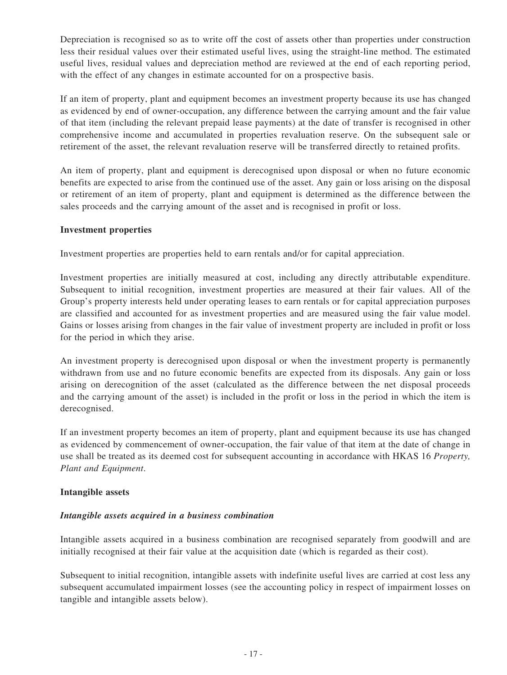Depreciation is recognised so as to write off the cost of assets other than properties under construction less their residual values over their estimated useful lives, using the straight-line method. The estimated useful lives, residual values and depreciation method are reviewed at the end of each reporting period, with the effect of any changes in estimate accounted for on a prospective basis.

If an item of property, plant and equipment becomes an investment property because its use has changed as evidenced by end of owner-occupation, any difference between the carrying amount and the fair value of that item (including the relevant prepaid lease payments) at the date of transfer is recognised in other comprehensive income and accumulated in properties revaluation reserve. On the subsequent sale or retirement of the asset, the relevant revaluation reserve will be transferred directly to retained profits.

An item of property, plant and equipment is derecognised upon disposal or when no future economic benefits are expected to arise from the continued use of the asset. Any gain or loss arising on the disposal or retirement of an item of property, plant and equipment is determined as the difference between the sales proceeds and the carrying amount of the asset and is recognised in profit or loss.

### **Investment properties**

Investment properties are properties held to earn rentals and/or for capital appreciation.

Investment properties are initially measured at cost, including any directly attributable expenditure. Subsequent to initial recognition, investment properties are measured at their fair values. All of the Group's property interests held under operating leases to earn rentals or for capital appreciation purposes are classified and accounted for as investment properties and are measured using the fair value model. Gains or losses arising from changes in the fair value of investment property are included in profit or loss for the period in which they arise.

An investment property is derecognised upon disposal or when the investment property is permanently withdrawn from use and no future economic benefits are expected from its disposals. Any gain or loss arising on derecognition of the asset (calculated as the difference between the net disposal proceeds and the carrying amount of the asset) is included in the profit or loss in the period in which the item is derecognised.

If an investment property becomes an item of property, plant and equipment because its use has changed as evidenced by commencement of owner-occupation, the fair value of that item at the date of change in use shall be treated as its deemed cost for subsequent accounting in accordance with HKAS 16 *Property, Plant and Equipment*.

### **Intangible assets**

### *Intangible assets acquired in a business combination*

Intangible assets acquired in a business combination are recognised separately from goodwill and are initially recognised at their fair value at the acquisition date (which is regarded as their cost).

Subsequent to initial recognition, intangible assets with indefinite useful lives are carried at cost less any subsequent accumulated impairment losses (see the accounting policy in respect of impairment losses on tangible and intangible assets below).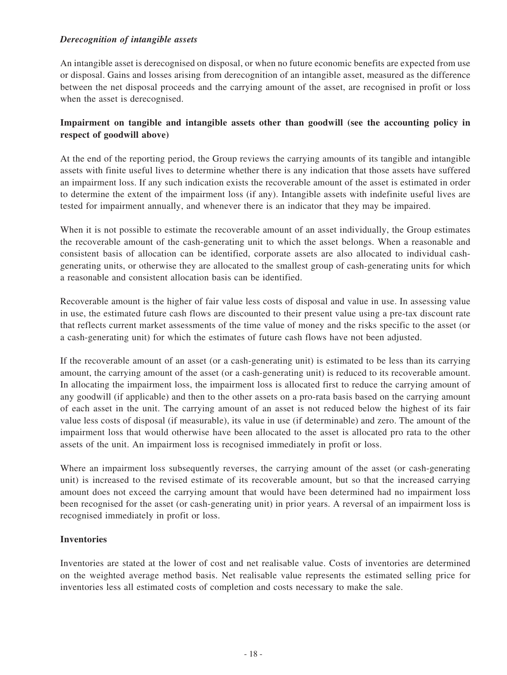### *Derecognition of intangible assets*

An intangible asset is derecognised on disposal, or when no future economic benefits are expected from use or disposal. Gains and losses arising from derecognition of an intangible asset, measured as the difference between the net disposal proceeds and the carrying amount of the asset, are recognised in profit or loss when the asset is derecognised.

### **Impairment on tangible and intangible assets other than goodwill (see the accounting policy in respect of goodwill above)**

At the end of the reporting period, the Group reviews the carrying amounts of its tangible and intangible assets with finite useful lives to determine whether there is any indication that those assets have suffered an impairment loss. If any such indication exists the recoverable amount of the asset is estimated in order to determine the extent of the impairment loss (if any). Intangible assets with indefinite useful lives are tested for impairment annually, and whenever there is an indicator that they may be impaired.

When it is not possible to estimate the recoverable amount of an asset individually, the Group estimates the recoverable amount of the cash-generating unit to which the asset belongs. When a reasonable and consistent basis of allocation can be identified, corporate assets are also allocated to individual cashgenerating units, or otherwise they are allocated to the smallest group of cash-generating units for which a reasonable and consistent allocation basis can be identified.

Recoverable amount is the higher of fair value less costs of disposal and value in use. In assessing value in use, the estimated future cash flows are discounted to their present value using a pre-tax discount rate that reflects current market assessments of the time value of money and the risks specific to the asset (or a cash-generating unit) for which the estimates of future cash flows have not been adjusted.

If the recoverable amount of an asset (or a cash-generating unit) is estimated to be less than its carrying amount, the carrying amount of the asset (or a cash-generating unit) is reduced to its recoverable amount. In allocating the impairment loss, the impairment loss is allocated first to reduce the carrying amount of any goodwill (if applicable) and then to the other assets on a pro-rata basis based on the carrying amount of each asset in the unit. The carrying amount of an asset is not reduced below the highest of its fair value less costs of disposal (if measurable), its value in use (if determinable) and zero. The amount of the impairment loss that would otherwise have been allocated to the asset is allocated pro rata to the other assets of the unit. An impairment loss is recognised immediately in profit or loss.

Where an impairment loss subsequently reverses, the carrying amount of the asset (or cash-generating unit) is increased to the revised estimate of its recoverable amount, but so that the increased carrying amount does not exceed the carrying amount that would have been determined had no impairment loss been recognised for the asset (or cash-generating unit) in prior years. A reversal of an impairment loss is recognised immediately in profit or loss.

### **Inventories**

Inventories are stated at the lower of cost and net realisable value. Costs of inventories are determined on the weighted average method basis. Net realisable value represents the estimated selling price for inventories less all estimated costs of completion and costs necessary to make the sale.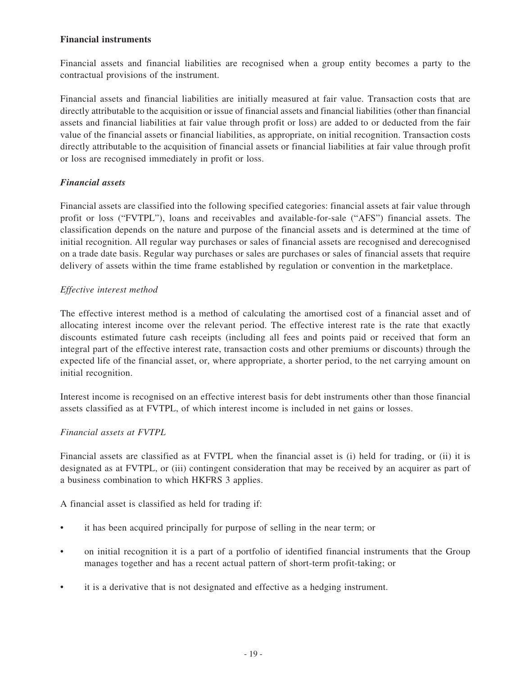### **Financial instruments**

Financial assets and financial liabilities are recognised when a group entity becomes a party to the contractual provisions of the instrument.

Financial assets and financial liabilities are initially measured at fair value. Transaction costs that are directly attributable to the acquisition or issue of financial assets and financial liabilities (other than financial assets and financial liabilities at fair value through profit or loss) are added to or deducted from the fair value of the financial assets or financial liabilities, as appropriate, on initial recognition. Transaction costs directly attributable to the acquisition of financial assets or financial liabilities at fair value through profit or loss are recognised immediately in profit or loss.

### *Financial assets*

Financial assets are classified into the following specified categories: financial assets at fair value through profit or loss ("FVTPL"), loans and receivables and available-for-sale ("AFS") financial assets. The classification depends on the nature and purpose of the financial assets and is determined at the time of initial recognition. All regular way purchases or sales of financial assets are recognised and derecognised on a trade date basis. Regular way purchases or sales are purchases or sales of financial assets that require delivery of assets within the time frame established by regulation or convention in the marketplace.

### *Effective interest method*

The effective interest method is a method of calculating the amortised cost of a financial asset and of allocating interest income over the relevant period. The effective interest rate is the rate that exactly discounts estimated future cash receipts (including all fees and points paid or received that form an integral part of the effective interest rate, transaction costs and other premiums or discounts) through the expected life of the financial asset, or, where appropriate, a shorter period, to the net carrying amount on initial recognition.

Interest income is recognised on an effective interest basis for debt instruments other than those financial assets classified as at FVTPL, of which interest income is included in net gains or losses.

### *Financial assets at FVTPL*

Financial assets are classified as at FVTPL when the financial asset is (i) held for trading, or (ii) it is designated as at FVTPL, or (iii) contingent consideration that may be received by an acquirer as part of a business combination to which HKFRS 3 applies.

A financial asset is classified as held for trading if:

- it has been acquired principally for purpose of selling in the near term; or
- on initial recognition it is a part of a portfolio of identified financial instruments that the Group manages together and has a recent actual pattern of short-term profit-taking; or
- it is a derivative that is not designated and effective as a hedging instrument.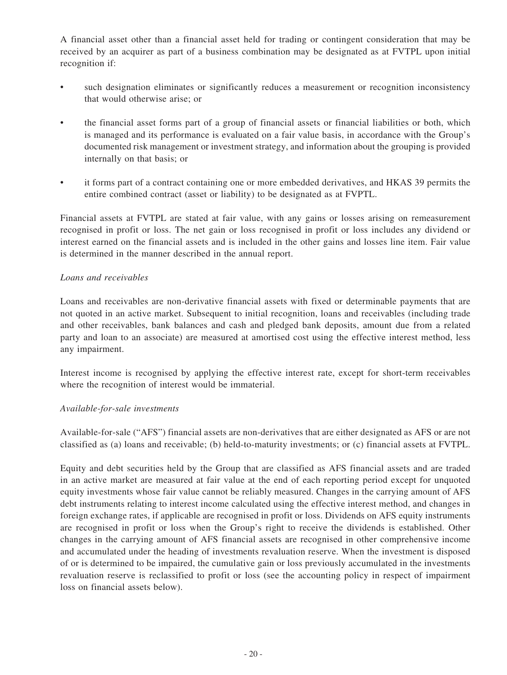A financial asset other than a financial asset held for trading or contingent consideration that may be received by an acquirer as part of a business combination may be designated as at FVTPL upon initial recognition if:

- such designation eliminates or significantly reduces a measurement or recognition inconsistency that would otherwise arise; or
- the financial asset forms part of a group of financial assets or financial liabilities or both, which is managed and its performance is evaluated on a fair value basis, in accordance with the Group's documented risk management or investment strategy, and information about the grouping is provided internally on that basis; or
- it forms part of a contract containing one or more embedded derivatives, and HKAS 39 permits the entire combined contract (asset or liability) to be designated as at FVPTL.

Financial assets at FVTPL are stated at fair value, with any gains or losses arising on remeasurement recognised in profit or loss. The net gain or loss recognised in profit or loss includes any dividend or interest earned on the financial assets and is included in the other gains and losses line item. Fair value is determined in the manner described in the annual report.

### *Loans and receivables*

Loans and receivables are non-derivative financial assets with fixed or determinable payments that are not quoted in an active market. Subsequent to initial recognition, loans and receivables (including trade and other receivables, bank balances and cash and pledged bank deposits, amount due from a related party and loan to an associate) are measured at amortised cost using the effective interest method, less any impairment.

Interest income is recognised by applying the effective interest rate, except for short-term receivables where the recognition of interest would be immaterial.

### *Available-for-sale investments*

Available-for-sale ("AFS") financial assets are non-derivatives that are either designated as AFS or are not classified as (a) loans and receivable; (b) held-to-maturity investments; or (c) financial assets at FVTPL.

Equity and debt securities held by the Group that are classified as AFS financial assets and are traded in an active market are measured at fair value at the end of each reporting period except for unquoted equity investments whose fair value cannot be reliably measured. Changes in the carrying amount of AFS debt instruments relating to interest income calculated using the effective interest method, and changes in foreign exchange rates, if applicable are recognised in profit or loss. Dividends on AFS equity instruments are recognised in profit or loss when the Group's right to receive the dividends is established. Other changes in the carrying amount of AFS financial assets are recognised in other comprehensive income and accumulated under the heading of investments revaluation reserve. When the investment is disposed of or is determined to be impaired, the cumulative gain or loss previously accumulated in the investments revaluation reserve is reclassified to profit or loss (see the accounting policy in respect of impairment loss on financial assets below).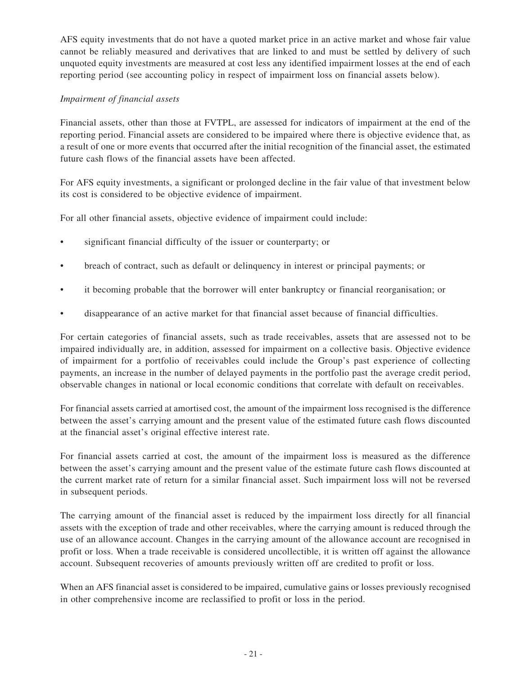AFS equity investments that do not have a quoted market price in an active market and whose fair value cannot be reliably measured and derivatives that are linked to and must be settled by delivery of such unquoted equity investments are measured at cost less any identified impairment losses at the end of each reporting period (see accounting policy in respect of impairment loss on financial assets below).

### *Impairment of financial assets*

Financial assets, other than those at FVTPL, are assessed for indicators of impairment at the end of the reporting period. Financial assets are considered to be impaired where there is objective evidence that, as a result of one or more events that occurred after the initial recognition of the financial asset, the estimated future cash flows of the financial assets have been affected.

For AFS equity investments, a significant or prolonged decline in the fair value of that investment below its cost is considered to be objective evidence of impairment.

For all other financial assets, objective evidence of impairment could include:

- significant financial difficulty of the issuer or counterparty; or
- breach of contract, such as default or delinquency in interest or principal payments; or
- it becoming probable that the borrower will enter bankruptcy or financial reorganisation; or
- disappearance of an active market for that financial asset because of financial difficulties.

For certain categories of financial assets, such as trade receivables, assets that are assessed not to be impaired individually are, in addition, assessed for impairment on a collective basis. Objective evidence of impairment for a portfolio of receivables could include the Group's past experience of collecting payments, an increase in the number of delayed payments in the portfolio past the average credit period, observable changes in national or local economic conditions that correlate with default on receivables.

For financial assets carried at amortised cost, the amount of the impairment loss recognised is the difference between the asset's carrying amount and the present value of the estimated future cash flows discounted at the financial asset's original effective interest rate.

For financial assets carried at cost, the amount of the impairment loss is measured as the difference between the asset's carrying amount and the present value of the estimate future cash flows discounted at the current market rate of return for a similar financial asset. Such impairment loss will not be reversed in subsequent periods.

The carrying amount of the financial asset is reduced by the impairment loss directly for all financial assets with the exception of trade and other receivables, where the carrying amount is reduced through the use of an allowance account. Changes in the carrying amount of the allowance account are recognised in profit or loss. When a trade receivable is considered uncollectible, it is written off against the allowance account. Subsequent recoveries of amounts previously written off are credited to profit or loss.

When an AFS financial asset is considered to be impaired, cumulative gains or losses previously recognised in other comprehensive income are reclassified to profit or loss in the period.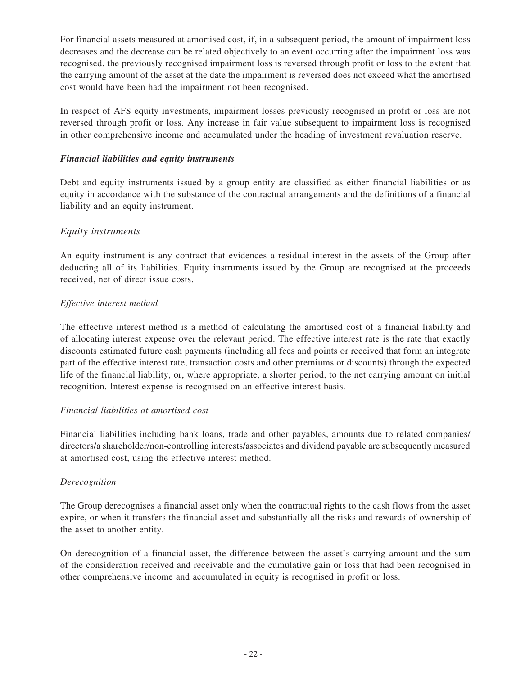For financial assets measured at amortised cost, if, in a subsequent period, the amount of impairment loss decreases and the decrease can be related objectively to an event occurring after the impairment loss was recognised, the previously recognised impairment loss is reversed through profit or loss to the extent that the carrying amount of the asset at the date the impairment is reversed does not exceed what the amortised cost would have been had the impairment not been recognised.

In respect of AFS equity investments, impairment losses previously recognised in profit or loss are not reversed through profit or loss. Any increase in fair value subsequent to impairment loss is recognised in other comprehensive income and accumulated under the heading of investment revaluation reserve.

### *Financial liabilities and equity instruments*

Debt and equity instruments issued by a group entity are classified as either financial liabilities or as equity in accordance with the substance of the contractual arrangements and the definitions of a financial liability and an equity instrument.

### *Equity instruments*

An equity instrument is any contract that evidences a residual interest in the assets of the Group after deducting all of its liabilities. Equity instruments issued by the Group are recognised at the proceeds received, net of direct issue costs.

### *Effective interest method*

The effective interest method is a method of calculating the amortised cost of a financial liability and of allocating interest expense over the relevant period. The effective interest rate is the rate that exactly discounts estimated future cash payments (including all fees and points or received that form an integrate part of the effective interest rate, transaction costs and other premiums or discounts) through the expected life of the financial liability, or, where appropriate, a shorter period, to the net carrying amount on initial recognition. Interest expense is recognised on an effective interest basis.

### *Financial liabilities at amortised cost*

Financial liabilities including bank loans, trade and other payables, amounts due to related companies/ directors/a shareholder/non-controlling interests/associates and dividend payable are subsequently measured at amortised cost, using the effective interest method.

### *Derecognition*

The Group derecognises a financial asset only when the contractual rights to the cash flows from the asset expire, or when it transfers the financial asset and substantially all the risks and rewards of ownership of the asset to another entity.

On derecognition of a financial asset, the difference between the asset's carrying amount and the sum of the consideration received and receivable and the cumulative gain or loss that had been recognised in other comprehensive income and accumulated in equity is recognised in profit or loss.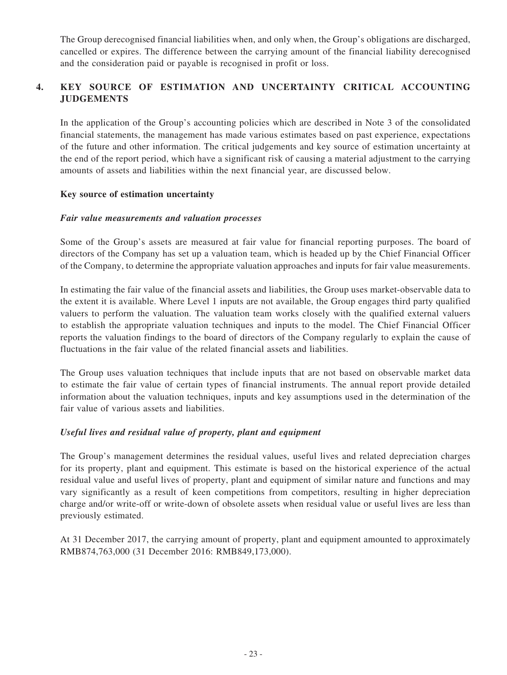The Group derecognised financial liabilities when, and only when, the Group's obligations are discharged, cancelled or expires. The difference between the carrying amount of the financial liability derecognised and the consideration paid or payable is recognised in profit or loss.

# **4. KEY SOURCE OF ESTIMATION AND UNCERTAINTY CRITICAL ACCOUNTING JUDGEMENTS**

In the application of the Group's accounting policies which are described in Note 3 of the consolidated financial statements, the management has made various estimates based on past experience, expectations of the future and other information. The critical judgements and key source of estimation uncertainty at the end of the report period, which have a significant risk of causing a material adjustment to the carrying amounts of assets and liabilities within the next financial year, are discussed below.

### **Key source of estimation uncertainty**

### *Fair value measurements and valuation processes*

Some of the Group's assets are measured at fair value for financial reporting purposes. The board of directors of the Company has set up a valuation team, which is headed up by the Chief Financial Officer of the Company, to determine the appropriate valuation approaches and inputs for fair value measurements.

In estimating the fair value of the financial assets and liabilities, the Group uses market-observable data to the extent it is available. Where Level 1 inputs are not available, the Group engages third party qualified valuers to perform the valuation. The valuation team works closely with the qualified external valuers to establish the appropriate valuation techniques and inputs to the model. The Chief Financial Officer reports the valuation findings to the board of directors of the Company regularly to explain the cause of fluctuations in the fair value of the related financial assets and liabilities.

The Group uses valuation techniques that include inputs that are not based on observable market data to estimate the fair value of certain types of financial instruments. The annual report provide detailed information about the valuation techniques, inputs and key assumptions used in the determination of the fair value of various assets and liabilities.

### *Useful lives and residual value of property, plant and equipment*

The Group's management determines the residual values, useful lives and related depreciation charges for its property, plant and equipment. This estimate is based on the historical experience of the actual residual value and useful lives of property, plant and equipment of similar nature and functions and may vary significantly as a result of keen competitions from competitors, resulting in higher depreciation charge and/or write-off or write-down of obsolete assets when residual value or useful lives are less than previously estimated.

At 31 December 2017, the carrying amount of property, plant and equipment amounted to approximately RMB874,763,000 (31 December 2016: RMB849,173,000).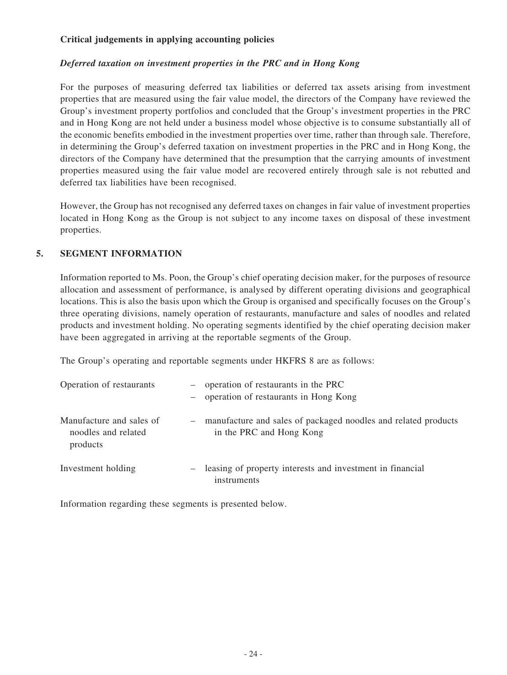### **Critical judgements in applying accounting policies**

### *Deferred taxation on investment properties in the PRC and in Hong Kong*

For the purposes of measuring deferred tax liabilities or deferred tax assets arising from investment properties that are measured using the fair value model, the directors of the Company have reviewed the Group's investment property portfolios and concluded that the Group's investment properties in the PRC and in Hong Kong are not held under a business model whose objective is to consume substantially all of the economic benefits embodied in the investment properties over time, rather than through sale. Therefore, in determining the Group's deferred taxation on investment properties in the PRC and in Hong Kong, the directors of the Company have determined that the presumption that the carrying amounts of investment properties measured using the fair value model are recovered entirely through sale is not rebutted and deferred tax liabilities have been recognised.

However, the Group has not recognised any deferred taxes on changes in fair value of investment properties located in Hong Kong as the Group is not subject to any income taxes on disposal of these investment properties.

### **5. SEGMENT INFORMATION**

Information reported to Ms. Poon, the Group's chief operating decision maker, for the purposes of resource allocation and assessment of performance, is analysed by different operating divisions and geographical locations. This is also the basis upon which the Group is organised and specifically focuses on the Group's three operating divisions, namely operation of restaurants, manufacture and sales of noodles and related products and investment holding. No operating segments identified by the chief operating decision maker have been aggregated in arriving at the reportable segments of the Group.

The Group's operating and reportable segments under HKFRS 8 are as follows:

| Operation of restaurants                                    |       | - operation of restaurants in the PRC<br>- operation of restaurants in Hong Kong           |
|-------------------------------------------------------------|-------|--------------------------------------------------------------------------------------------|
| Manufacture and sales of<br>noodles and related<br>products | $ \,$ | manufacture and sales of packaged noodles and related products<br>in the PRC and Hong Kong |
| Investment holding                                          |       | leasing of property interests and investment in financial<br>instruments                   |

Information regarding these segments is presented below.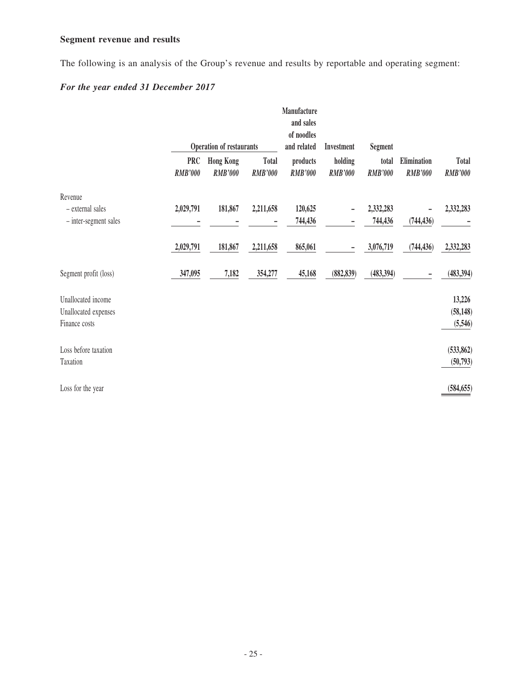# **Segment revenue and results**

The following is an analysis of the Group's revenue and results by reportable and operating segment:

# *For the year ended 31 December 2017*

|                       |                              | <b>Operation of restaurants</b>    |                                | Manufacture<br>and sales<br>of noodles<br>and related | Investment                | <b>Segment</b>          |                               |                                |
|-----------------------|------------------------------|------------------------------------|--------------------------------|-------------------------------------------------------|---------------------------|-------------------------|-------------------------------|--------------------------------|
|                       | <b>PRC</b><br><b>RMB'000</b> | <b>Hong Kong</b><br><b>RMB'000</b> | <b>Total</b><br><b>RMB'000</b> | products<br><b>RMB'000</b>                            | holding<br><b>RMB'000</b> | total<br><b>RMB'000</b> | Elimination<br><b>RMB'000</b> | <b>Total</b><br><b>RMB'000</b> |
| Revenue               |                              |                                    |                                |                                                       |                           |                         |                               |                                |
| - external sales      | 2,029,791                    | 181,867                            | 2,211,658                      | 120,625                                               |                           | 2,332,283               |                               | 2,332,283                      |
| - inter-segment sales |                              |                                    |                                | 744,436                                               |                           | 744,436                 | (744, 436)                    |                                |
|                       | 2,029,791                    | 181,867                            | 2,211,658                      | 865,061                                               |                           | 3,076,719               | (744, 436)                    | 2,332,283                      |
| Segment profit (loss) | 347,095                      | 7,182                              | 354,277                        | 45,168                                                | (882, 839)                | (483, 394)              |                               | (483, 394)                     |
| Unallocated income    |                              |                                    |                                |                                                       |                           |                         |                               | 13,226                         |
| Unallocated expenses  |                              |                                    |                                |                                                       |                           |                         |                               | (58, 148)                      |
| Finance costs         |                              |                                    |                                |                                                       |                           |                         |                               | (5,546)                        |
| Loss before taxation  |                              |                                    |                                |                                                       |                           |                         |                               | (533, 862)                     |
| Taxation              |                              |                                    |                                |                                                       |                           |                         |                               | (50, 793)                      |
| Loss for the year     |                              |                                    |                                |                                                       |                           |                         |                               | (584, 655)                     |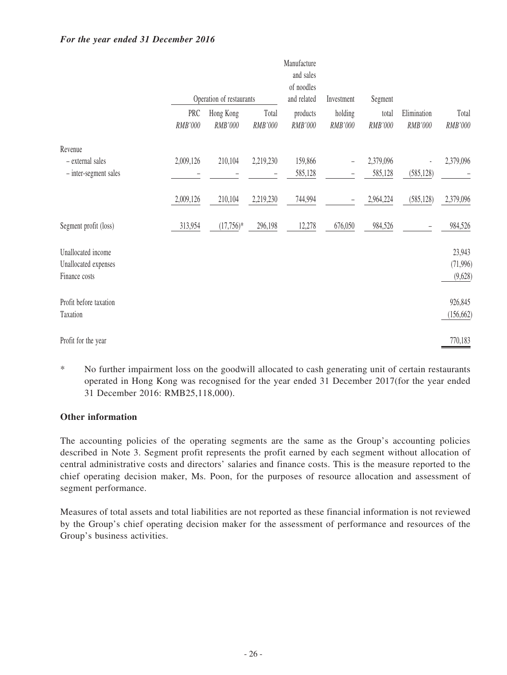### *For the year ended 31 December 2016*

|                        |                |                          |                  | Manufacture<br>and sales<br>of noodles |                    |                  |                        |                  |
|------------------------|----------------|--------------------------|------------------|----------------------------------------|--------------------|------------------|------------------------|------------------|
|                        |                | Operation of restaurants |                  | and related                            | Investment         | Segment          |                        |                  |
|                        | PRC<br>RMB'000 | Hong Kong<br>RMB'000     | Total<br>RMB'000 | products<br>RMB'000                    | holding<br>RMB'000 | total<br>RMB'000 | Elimination<br>RMB'000 | Total<br>RMB'000 |
| Revenue                |                |                          |                  |                                        |                    |                  |                        |                  |
| - external sales       | 2,009,126      | 210,104                  | 2,219,230        | 159,866                                |                    | 2,379,096        |                        | 2,379,096        |
| - inter-segment sales  |                |                          |                  | 585,128                                |                    | 585,128          | (585, 128)             |                  |
|                        | 2,009,126      | 210,104                  | 2,219,230        | 744,994                                |                    | 2,964,224        | (585, 128)             | 2,379,096        |
| Segment profit (loss)  | 313,954        | $(17,756)*$              | 296,198          | 12,278                                 | 676,050            | 984,526          |                        | 984,526          |
| Unallocated income     |                |                          |                  |                                        |                    |                  |                        | 23,943           |
| Unallocated expenses   |                |                          |                  |                                        |                    |                  |                        | (71, 996)        |
| Finance costs          |                |                          |                  |                                        |                    |                  |                        | (9,628)          |
| Profit before taxation |                |                          |                  |                                        |                    |                  |                        | 926,845          |
| Taxation               |                |                          |                  |                                        |                    |                  |                        | (156, 662)       |
| Profit for the year    |                |                          |                  |                                        |                    |                  |                        | 770,183          |

\* No further impairment loss on the goodwill allocated to cash generating unit of certain restaurants operated in Hong Kong was recognised for the year ended 31 December 2017(for the year ended 31 December 2016: RMB25,118,000).

### **Other information**

The accounting policies of the operating segments are the same as the Group's accounting policies described in Note 3. Segment profit represents the profit earned by each segment without allocation of central administrative costs and directors' salaries and finance costs. This is the measure reported to the chief operating decision maker, Ms. Poon, for the purposes of resource allocation and assessment of segment performance.

Measures of total assets and total liabilities are not reported as these financial information is not reviewed by the Group's chief operating decision maker for the assessment of performance and resources of the Group's business activities.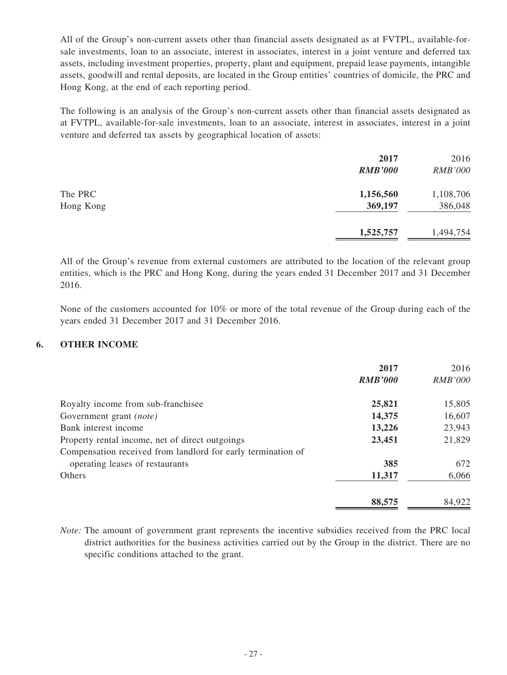All of the Group's non-current assets other than financial assets designated as at FVTPL, available-forsale investments, loan to an associate, interest in associates, interest in a joint venture and deferred tax assets, including investment properties, property, plant and equipment, prepaid lease payments, intangible assets, goodwill and rental deposits, are located in the Group entities' countries of domicile, the PRC and Hong Kong, at the end of each reporting period.

The following is an analysis of the Group's non-current assets other than financial assets designated as at FVTPL, available-for-sale investments, loan to an associate, interest in associates, interest in a joint venture and deferred tax assets by geographical location of assets:

|           | 2017<br><b>RMB'000</b> | 2016<br><b>RMB'000</b> |
|-----------|------------------------|------------------------|
| The PRC   | 1,156,560              | 1,108,706              |
| Hong Kong | 369,197                | 386,048                |
|           | 1,525,757              | 1,494,754              |

All of the Group's revenue from external customers are attributed to the location of the relevant group entities, which is the PRC and Hong Kong, during the years ended 31 December 2017 and 31 December 2016.

None of the customers accounted for 10% or more of the total revenue of the Group during each of the years ended 31 December 2017 and 31 December 2016.

### **6. OTHER INCOME**

|                                                              | 2017           | 2016           |
|--------------------------------------------------------------|----------------|----------------|
|                                                              | <b>RMB'000</b> | <b>RMB'000</b> |
| Royalty income from sub-franchisee                           | 25,821         | 15,805         |
| Government grant (note)                                      | 14,375         | 16,607         |
| Bank interest income                                         | 13,226         | 23,943         |
| Property rental income, net of direct outgoings              | 23,451         | 21,829         |
| Compensation received from landlord for early termination of |                |                |
| operating leases of restaurants                              | 385            | 672            |
| <b>Others</b>                                                | 11,317         | 6,066          |
|                                                              | 88,575         | 84,922         |

*Note:* The amount of government grant represents the incentive subsidies received from the PRC local district authorities for the business activities carried out by the Group in the district. There are no specific conditions attached to the grant.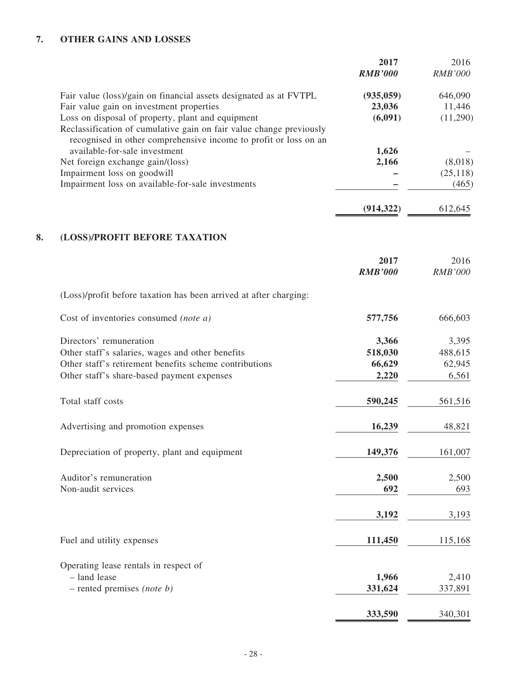# **7. OTHER GAINS AND LOSSES**

|                                                                                                                                                                    | 2017<br><b>RMB'000</b>          | 2016<br><b>RMB'000</b>        |
|--------------------------------------------------------------------------------------------------------------------------------------------------------------------|---------------------------------|-------------------------------|
| Fair value (loss)/gain on financial assets designated as at FVTPL<br>Fair value gain on investment properties<br>Loss on disposal of property, plant and equipment | (935, 059)<br>23,036<br>(6,091) | 646,090<br>11,446<br>(11,290) |
| Reclassification of cumulative gain on fair value change previously<br>recognised in other comprehensive income to profit or loss on an                            |                                 |                               |
| available-for-sale investment<br>Net foreign exchange gain/(loss)                                                                                                  | 1,626<br>2,166                  | (8,018)                       |
| Impairment loss on goodwill                                                                                                                                        |                                 | (25, 118)                     |
| Impairment loss on available-for-sale investments                                                                                                                  |                                 | (465)                         |
|                                                                                                                                                                    | (914, 322)                      | 612,645                       |
| 8.<br>(LOSS)/PROFIT BEFORE TAXATION                                                                                                                                |                                 |                               |
|                                                                                                                                                                    | 2017                            | 2016                          |
|                                                                                                                                                                    | <b>RMB'000</b>                  | <b>RMB'000</b>                |
| (Loss)/profit before taxation has been arrived at after charging:                                                                                                  |                                 |                               |
| Cost of inventories consumed (note a)                                                                                                                              | 577,756                         | 666,603                       |
| Directors' remuneration                                                                                                                                            | 3,366                           | 3,395                         |
| Other staff's salaries, wages and other benefits                                                                                                                   | 518,030                         | 488,615                       |
| Other staff's retirement benefits scheme contributions                                                                                                             | 66,629                          | 62,945                        |
| Other staff's share-based payment expenses                                                                                                                         | 2,220                           | 6,561                         |
| Total staff costs                                                                                                                                                  | 590,245                         | 561,516                       |
| Advertising and promotion expenses                                                                                                                                 | 16,239                          | 48,821                        |
| Depreciation of property, plant and equipment                                                                                                                      | 149,376                         | 161,007                       |
| Auditor's remuneration                                                                                                                                             | 2,500                           | 2,500                         |
| Non-audit services                                                                                                                                                 | 692                             | 693                           |
|                                                                                                                                                                    | 3,192                           | 3,193                         |
| Fuel and utility expenses                                                                                                                                          | 111,450                         | 115,168                       |
| Operating lease rentals in respect of                                                                                                                              |                                 |                               |
| - land lease                                                                                                                                                       | 1,966                           | 2,410                         |
| $-$ rented premises (note b)                                                                                                                                       | 331,624                         | 337,891                       |
|                                                                                                                                                                    | 333,590                         | 340,301                       |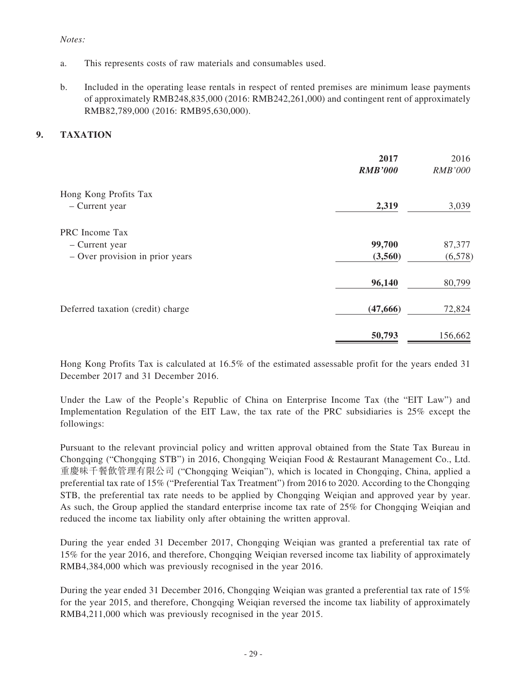### *Notes:*

- a. This represents costs of raw materials and consumables used.
- b. Included in the operating lease rentals in respect of rented premises are minimum lease payments of approximately RMB248,835,000 (2016: RMB242,261,000) and contingent rent of approximately RMB82,789,000 (2016: RMB95,630,000).

### **9. TAXATION**

|                                   | 2017<br><b>RMB'000</b> | 2016<br><b>RMB'000</b> |
|-----------------------------------|------------------------|------------------------|
| Hong Kong Profits Tax             |                        |                        |
| - Current year                    | 2,319                  | 3,039                  |
| PRC Income Tax                    |                        |                        |
| - Current year                    | 99,700                 | 87,377                 |
| - Over provision in prior years   | (3,560)                | (6,578)                |
|                                   | 96,140                 | 80,799                 |
| Deferred taxation (credit) charge | (47, 666)              | 72,824                 |
|                                   | 50,793                 | 156,662                |

Hong Kong Profits Tax is calculated at 16.5% of the estimated assessable profit for the years ended 31 December 2017 and 31 December 2016.

Under the Law of the People's Republic of China on Enterprise Income Tax (the "EIT Law") and Implementation Regulation of the EIT Law, the tax rate of the PRC subsidiaries is 25% except the followings:

Pursuant to the relevant provincial policy and written approval obtained from the State Tax Bureau in Chongqing ("Chongqing STB") in 2016, Chongqing Weiqian Food & Restaurant Management Co., Ltd. 重慶味千餐飲管理有限公司 ("Chongqing Weiqian"), which is located in Chongqing, China, applied a preferential tax rate of 15% ("Preferential Tax Treatment") from 2016 to 2020. According to the Chongqing STB, the preferential tax rate needs to be applied by Chongqing Weiqian and approved year by year. As such, the Group applied the standard enterprise income tax rate of 25% for Chongqing Weiqian and reduced the income tax liability only after obtaining the written approval.

During the year ended 31 December 2017, Chongqing Weiqian was granted a preferential tax rate of 15% for the year 2016, and therefore, Chongqing Weiqian reversed income tax liability of approximately RMB4,384,000 which was previously recognised in the year 2016.

During the year ended 31 December 2016, Chongqing Weiqian was granted a preferential tax rate of 15% for the year 2015, and therefore, Chongqing Weiqian reversed the income tax liability of approximately RMB4,211,000 which was previously recognised in the year 2015.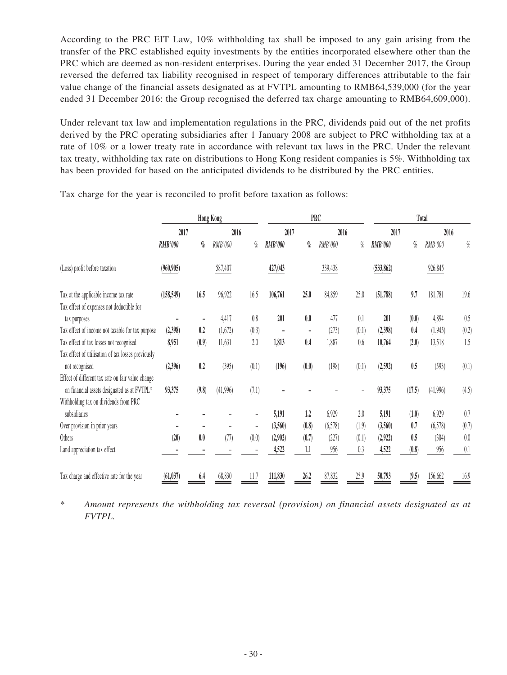According to the PRC EIT Law, 10% withholding tax shall be imposed to any gain arising from the transfer of the PRC established equity investments by the entities incorporated elsewhere other than the PRC which are deemed as non-resident enterprises. During the year ended 31 December 2017, the Group reversed the deferred tax liability recognised in respect of temporary differences attributable to the fair value change of the financial assets designated as at FVTPL amounting to RMB64,539,000 (for the year ended 31 December 2016: the Group recognised the deferred tax charge amounting to RMB64,609,000).

Under relevant tax law and implementation regulations in the PRC, dividends paid out of the net profits derived by the PRC operating subsidiaries after 1 January 2008 are subject to PRC withholding tax at a rate of 10% or a lower treaty rate in accordance with relevant tax laws in the PRC. Under the relevant tax treaty, withholding tax rate on distributions to Hong Kong resident companies is 5%. Withholding tax has been provided for based on the anticipated dividends to be distributed by the PRC entities.

|                                                    |                |                              | <b>Hong Kong</b> |       |                |                              | <b>PRC</b> |       |                |        | Total    |         |
|----------------------------------------------------|----------------|------------------------------|------------------|-------|----------------|------------------------------|------------|-------|----------------|--------|----------|---------|
|                                                    | 2017           |                              | 2016             |       | 2017           |                              | 2016       |       | 2017           |        | 2016     |         |
|                                                    | <b>RMB'000</b> | $q_{\!\scriptscriptstyle 0}$ | RMB'000          | $\%$  | <b>RMB'000</b> | $q_{\!\scriptscriptstyle 0}$ | RMB'000    | $\%$  | <b>RMB'000</b> | $\%$   | RMB'000  | $\%$    |
| (Loss) profit before taxation                      | (960, 905)     |                              | 587,407          |       | 427,043        |                              | 339,438    |       | (533, 862)     |        | 926,845  |         |
| Tax at the applicable income tax rate              | (158, 549)     | 16.5                         | 96,922           | 16.5  | 106,761        | 25.0                         | 84,859     | 25.0  | (51,788)       | 9,7    | 181,781  | 19.6    |
| Tax effect of expenses not deductible for          |                |                              |                  |       |                |                              |            |       |                |        |          |         |
| tax purposes                                       |                |                              | 4,417            | 0.8   | 201            | 0.0                          | 477        | 0.1   | 201            | (0.0)  | 4,894    | 0.5     |
| Tax effect of income not taxable for tax purpose   | (2,398)        | 0.2                          | (1,672)          | (0.3) |                | ۰                            | (273)      | (0.1) | (2,398)        | 0.4    | (1,945)  | (0.2)   |
| Tax effect of tax losses not recognised            | 8,951          | (0.9)                        | 11,631           | 2.0   | 1,813          | 0.4                          | 1,887      | 0.6   | 10,764         | (2.0)  | 13,518   | 1.5     |
| Tax effect of utilisation of tax losses previously |                |                              |                  |       |                |                              |            |       |                |        |          |         |
| not recognised                                     | (2,396)        | 0.2                          | (395)            | (0.1) | (196)          | (0.0)                        | (198)      | (0.1) | (2,592)        | 0.5    | (593)    | (0.1)   |
| Effect of different tax rate on fair value change  |                |                              |                  |       |                |                              |            |       |                |        |          |         |
| on financial assets designated as at FVTPL*        | 93,375         | (9.8)                        | (41,996)         | (7.1) |                |                              |            |       | 93,375         | (17.5) | (41,996) | (4.5)   |
| Withholding tax on dividends from PRC              |                |                              |                  |       |                |                              |            |       |                |        |          |         |
| subsidiaries                                       |                |                              |                  |       | 5,191          | 1.2                          | 6,929      | 2.0   | 5,191          | (1.0)  | 6,929    | 0.7     |
| Over provision in prior years                      |                |                              |                  |       | (3,560)        | (0.8)                        | (6,578)    | (1.9) | (3,560)        | 0.7    | (6,578)  | (0.7)   |
| Others                                             | (20)           | 0.0                          | (77)             | (0.0) | (2,902)        | (0.7)                        | (227)      | (0.1) | (2,922)        | 0.5    | (304)    | $0.0\,$ |
| Land appreciation tax effect                       |                |                              |                  |       | 4,522          | 1.1                          | 956        | 0.3   | 4,522          | (0.8)  | 956      | 0.1     |
| Tax charge and effective rate for the year         | (61, 037)      | 6.4                          | 68.830           | 11.7  | 111,830        | 26.2                         | 87,832     | 25.9  | 50,793         | (9.5)  | 156,662  | 16.9    |

Tax charge for the year is reconciled to profit before taxation as follows:

\* *Amount represents the withholding tax reversal (provision) on financial assets designated as at FVTPL.*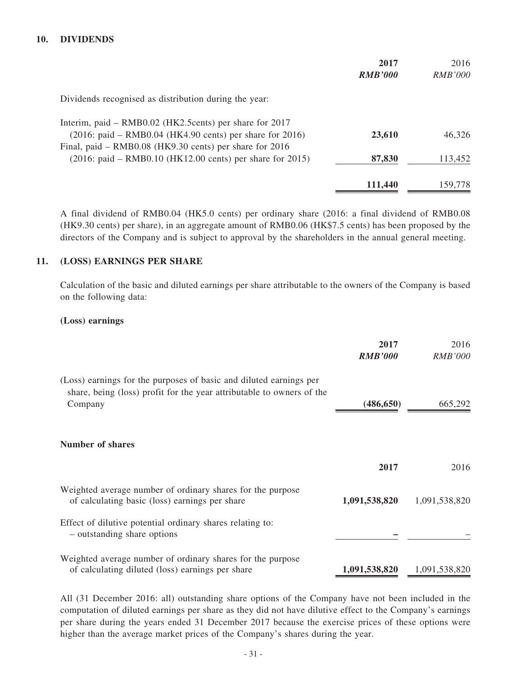### **10. DIVIDENDS**

|                                                                                                                        | 2017<br><b>RMB'000</b> | 2016<br><i>RMB'000</i> |
|------------------------------------------------------------------------------------------------------------------------|------------------------|------------------------|
| Dividends recognised as distribution during the year:                                                                  |                        |                        |
| Interim, paid – RMB0.02 (HK2.5 cents) per share for 2017<br>$(2016:$ paid – RMB0.04 (HK4.90 cents) per share for 2016) | 23,610                 | 46,326                 |
| Final, paid – RMB0.08 (HK9.30 cents) per share for 2016<br>$(2016:$ paid – RMB0.10 (HK12.00 cents) per share for 2015) | 87,830                 | 113,452                |
|                                                                                                                        | 111,440                | 159,778                |

A final dividend of RMB0.04 (HK5.0 cents) per ordinary share (2016: a final dividend of RMB0.08 (HK9.30 cents) per share), in an aggregate amount of RMB0.06 (HK\$7.5 cents) has been proposed by the directors of the Company and is subject to approval by the shareholders in the annual general meeting.

### **11. (LOSS) EARNINGS PER SHARE**

Calculation of the basic and diluted earnings per share attributable to the owners of the Company is based on the following data:

#### **(Loss) earnings**

|                                                                                                                                                        | 2017<br><b>RMB'000</b> | 2016<br><b>RMB'000</b> |
|--------------------------------------------------------------------------------------------------------------------------------------------------------|------------------------|------------------------|
| (Loss) earnings for the purposes of basic and diluted earnings per<br>share, being (loss) profit for the year attributable to owners of the<br>Company | (486, 650)             | 665,292                |
| <b>Number of shares</b>                                                                                                                                |                        |                        |
|                                                                                                                                                        | 2017                   | 2016                   |
| Weighted average number of ordinary shares for the purpose<br>of calculating basic (loss) earnings per share                                           | 1,091,538,820          | 1,091,538,820          |
| Effect of dilutive potential ordinary shares relating to:<br>- outstanding share options                                                               |                        |                        |
| Weighted average number of ordinary shares for the purpose<br>of calculating diluted (loss) earnings per share                                         | 1,091,538,820          | 1,091,538,820          |

All (31 December 2016: all) outstanding share options of the Company have not been included in the computation of diluted earnings per share as they did not have dilutive effect to the Company's earnings per share during the years ended 31 December 2017 because the exercise prices of these options were higher than the average market prices of the Company's shares during the year.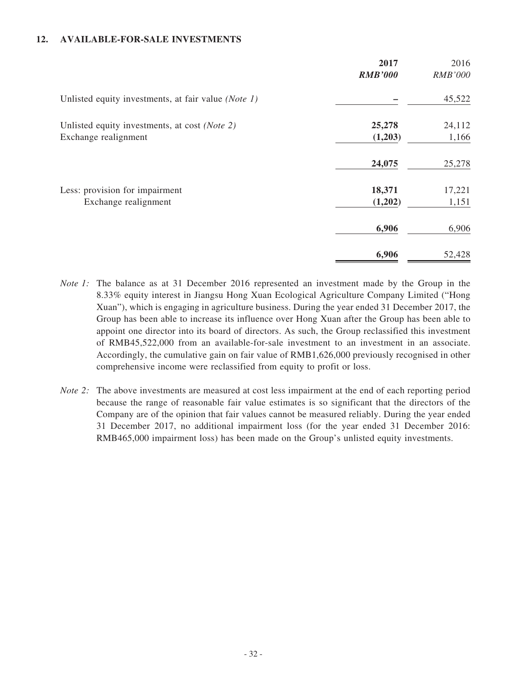### **12. AVAILABLE-FOR-SALE INVESTMENTS**

|                                                     | 2017<br><b>RMB'000</b> | 2016<br><b>RMB'000</b> |
|-----------------------------------------------------|------------------------|------------------------|
|                                                     |                        |                        |
| Unlisted equity investments, at fair value (Note 1) |                        | 45,522                 |
| Unlisted equity investments, at cost (Note 2)       | 25,278                 | 24,112                 |
| Exchange realignment                                | (1,203)                | 1,166                  |
|                                                     | 24,075                 | 25,278                 |
| Less: provision for impairment                      | 18,371                 | 17,221                 |
| Exchange realignment                                | (1,202)                | 1,151                  |
|                                                     | 6,906                  | 6,906                  |
|                                                     | 6,906                  | 52,428                 |

- *Note 1:* The balance as at 31 December 2016 represented an investment made by the Group in the 8.33% equity interest in Jiangsu Hong Xuan Ecological Agriculture Company Limited ("Hong Xuan"), which is engaging in agriculture business. During the year ended 31 December 2017, the Group has been able to increase its influence over Hong Xuan after the Group has been able to appoint one director into its board of directors. As such, the Group reclassified this investment of RMB45,522,000 from an available-for-sale investment to an investment in an associate. Accordingly, the cumulative gain on fair value of RMB1,626,000 previously recognised in other comprehensive income were reclassified from equity to profit or loss.
- *Note 2:* The above investments are measured at cost less impairment at the end of each reporting period because the range of reasonable fair value estimates is so significant that the directors of the Company are of the opinion that fair values cannot be measured reliably. During the year ended 31 December 2017, no additional impairment loss (for the year ended 31 December 2016: RMB465,000 impairment loss) has been made on the Group's unlisted equity investments.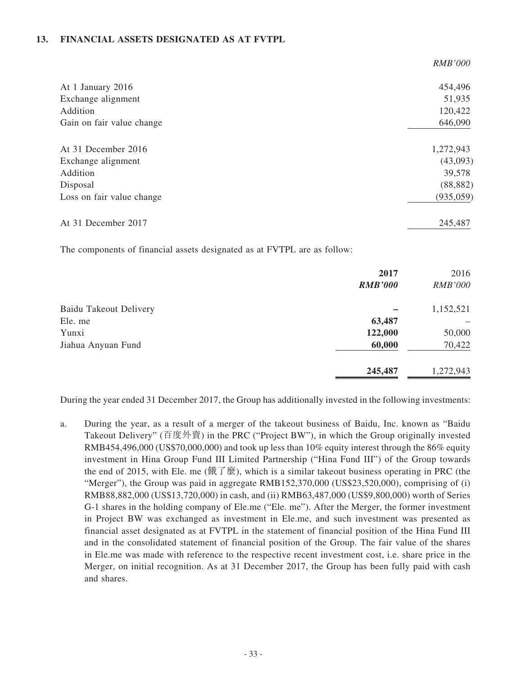### **13. FINANCIAL ASSETS DESIGNATED AS AT FVTPL**

|                           | <b>RMB'000</b> |
|---------------------------|----------------|
| At 1 January 2016         | 454,496        |
| Exchange alignment        | 51,935         |
| Addition                  | 120,422        |
| Gain on fair value change | 646,090        |
| At 31 December 2016       | 1,272,943      |
| Exchange alignment        | (43,093)       |
| Addition                  | 39,578         |
| Disposal                  | (88, 882)      |
| Loss on fair value change | (935, 059)     |
| At 31 December 2017       | 245,487        |

The components of financial assets designated as at FVTPL are as follow:

|                               | 2017<br><b>RMB'000</b> | 2016<br><b>RMB'000</b> |
|-------------------------------|------------------------|------------------------|
| <b>Baidu Takeout Delivery</b> |                        | 1,152,521              |
| Ele. me                       | 63,487                 |                        |
| Yunxi                         | 122,000                | 50,000                 |
| Jiahua Anyuan Fund            | 60,000                 | 70,422                 |
|                               | 245,487                | 1,272,943              |

During the year ended 31 December 2017, the Group has additionally invested in the following investments:

a. During the year, as a result of a merger of the takeout business of Baidu, Inc. known as "Baidu Takeout Delivery" (百度外賣) in the PRC ("Project BW"), in which the Group originally invested RMB454,496,000 (US\$70,000,000) and took up less than 10% equity interest through the 86% equity investment in Hina Group Fund III Limited Partnership ("Hina Fund III") of the Group towards the end of 2015, with Ele. me (餓了麼), which is a similar takeout business operating in PRC (the "Merger"), the Group was paid in aggregate RMB152,370,000 (US\$23,520,000), comprising of (i) RMB88,882,000 (US\$13,720,000) in cash, and (ii) RMB63,487,000 (US\$9,800,000) worth of Series G-1 shares in the holding company of Ele.me ("Ele. me"). After the Merger, the former investment in Project BW was exchanged as investment in Ele.me, and such investment was presented as financial asset designated as at FVTPL in the statement of financial position of the Hina Fund III and in the consolidated statement of financial position of the Group. The fair value of the shares in Ele.me was made with reference to the respective recent investment cost, i.e. share price in the Merger, on initial recognition. As at 31 December 2017, the Group has been fully paid with cash and shares.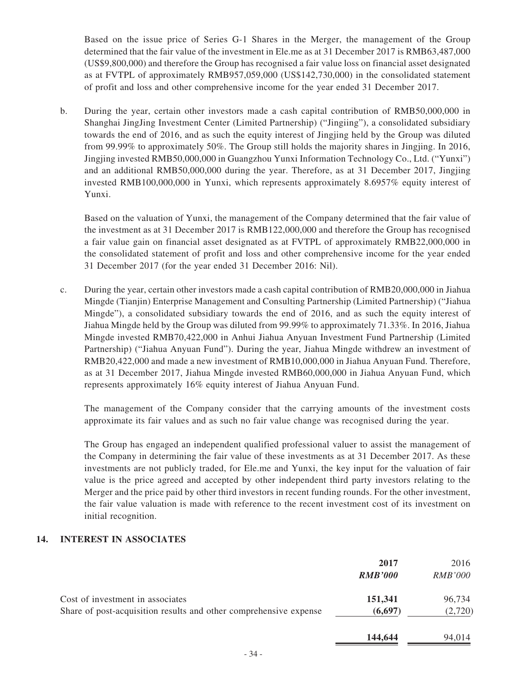Based on the issue price of Series G-1 Shares in the Merger, the management of the Group determined that the fair value of the investment in Ele.me as at 31 December 2017 is RMB63,487,000 (US\$9,800,000) and therefore the Group has recognised a fair value loss on financial asset designated as at FVTPL of approximately RMB957,059,000 (US\$142,730,000) in the consolidated statement of profit and loss and other comprehensive income for the year ended 31 December 2017.

b. During the year, certain other investors made a cash capital contribution of RMB50,000,000 in Shanghai JingJing Investment Center (Limited Partnership) ("Jingiing"), a consolidated subsidiary towards the end of 2016, and as such the equity interest of Jingjing held by the Group was diluted from 99.99% to approximately 50%. The Group still holds the majority shares in Jingjing. In 2016, Jingjing invested RMB50,000,000 in Guangzhou Yunxi Information Technology Co., Ltd. ("Yunxi") and an additional RMB50,000,000 during the year. Therefore, as at 31 December 2017, Jingjing invested RMB100,000,000 in Yunxi, which represents approximately 8.6957% equity interest of Yunxi.

Based on the valuation of Yunxi, the management of the Company determined that the fair value of the investment as at 31 December 2017 is RMB122,000,000 and therefore the Group has recognised a fair value gain on financial asset designated as at FVTPL of approximately RMB22,000,000 in the consolidated statement of profit and loss and other comprehensive income for the year ended 31 December 2017 (for the year ended 31 December 2016: Nil).

c. During the year, certain other investors made a cash capital contribution of RMB20,000,000 in Jiahua Mingde (Tianjin) Enterprise Management and Consulting Partnership (Limited Partnership) ("Jiahua Mingde"), a consolidated subsidiary towards the end of 2016, and as such the equity interest of Jiahua Mingde held by the Group was diluted from 99.99% to approximately 71.33%. In 2016, Jiahua Mingde invested RMB70,422,000 in Anhui Jiahua Anyuan Investment Fund Partnership (Limited Partnership) ("Jiahua Anyuan Fund"). During the year, Jiahua Mingde withdrew an investment of RMB20,422,000 and made a new investment of RMB10,000,000 in Jiahua Anyuan Fund. Therefore, as at 31 December 2017, Jiahua Mingde invested RMB60,000,000 in Jiahua Anyuan Fund, which represents approximately 16% equity interest of Jiahua Anyuan Fund.

The management of the Company consider that the carrying amounts of the investment costs approximate its fair values and as such no fair value change was recognised during the year.

The Group has engaged an independent qualified professional valuer to assist the management of the Company in determining the fair value of these investments as at 31 December 2017. As these investments are not publicly traded, for Ele.me and Yunxi, the key input for the valuation of fair value is the price agreed and accepted by other independent third party investors relating to the Merger and the price paid by other third investors in recent funding rounds. For the other investment, the fair value valuation is made with reference to the recent investment cost of its investment on initial recognition.

### **14. INTEREST IN ASSOCIATES**

|                                                                   | 2017<br><b>RMB'000</b> | 2016<br><i>RMB'000</i> |
|-------------------------------------------------------------------|------------------------|------------------------|
| Cost of investment in associates                                  | 151,341                | 96,734                 |
| Share of post-acquisition results and other comprehensive expense | (6,697)                | (2,720)                |
|                                                                   | 144,644                | 94,014                 |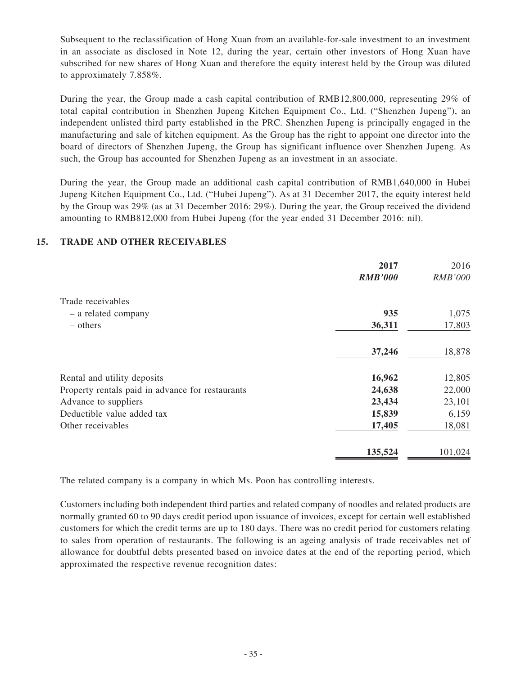Subsequent to the reclassification of Hong Xuan from an available-for-sale investment to an investment in an associate as disclosed in Note 12, during the year, certain other investors of Hong Xuan have subscribed for new shares of Hong Xuan and therefore the equity interest held by the Group was diluted to approximately 7.858%.

During the year, the Group made a cash capital contribution of RMB12,800,000, representing 29% of total capital contribution in Shenzhen Jupeng Kitchen Equipment Co., Ltd. ("Shenzhen Jupeng"), an independent unlisted third party established in the PRC. Shenzhen Jupeng is principally engaged in the manufacturing and sale of kitchen equipment. As the Group has the right to appoint one director into the board of directors of Shenzhen Jupeng, the Group has significant influence over Shenzhen Jupeng. As such, the Group has accounted for Shenzhen Jupeng as an investment in an associate.

During the year, the Group made an additional cash capital contribution of RMB1,640,000 in Hubei Jupeng Kitchen Equipment Co., Ltd. ("Hubei Jupeng"). As at 31 December 2017, the equity interest held by the Group was 29% (as at 31 December 2016: 29%). During the year, the Group received the dividend amounting to RMB812,000 from Hubei Jupeng (for the year ended 31 December 2016: nil).

### **15. TRADE AND OTHER RECEIVABLES**

|                                                  | 2017<br><b>RMB'000</b> | 2016<br><b>RMB'000</b> |
|--------------------------------------------------|------------------------|------------------------|
|                                                  |                        |                        |
| Trade receivables                                |                        |                        |
| - a related company                              | 935                    | 1,075                  |
| – others                                         | 36,311                 | 17,803                 |
|                                                  | 37,246                 | 18,878                 |
| Rental and utility deposits                      | 16,962                 | 12,805                 |
| Property rentals paid in advance for restaurants | 24,638                 | 22,000                 |
| Advance to suppliers                             | 23,434                 | 23,101                 |
| Deductible value added tax                       | 15,839                 | 6,159                  |
| Other receivables                                | 17,405                 | 18,081                 |
|                                                  | 135,524                | 101,024                |

The related company is a company in which Ms. Poon has controlling interests.

Customers including both independent third parties and related company of noodles and related products are normally granted 60 to 90 days credit period upon issuance of invoices, except for certain well established customers for which the credit terms are up to 180 days. There was no credit period for customers relating to sales from operation of restaurants. The following is an ageing analysis of trade receivables net of allowance for doubtful debts presented based on invoice dates at the end of the reporting period, which approximated the respective revenue recognition dates: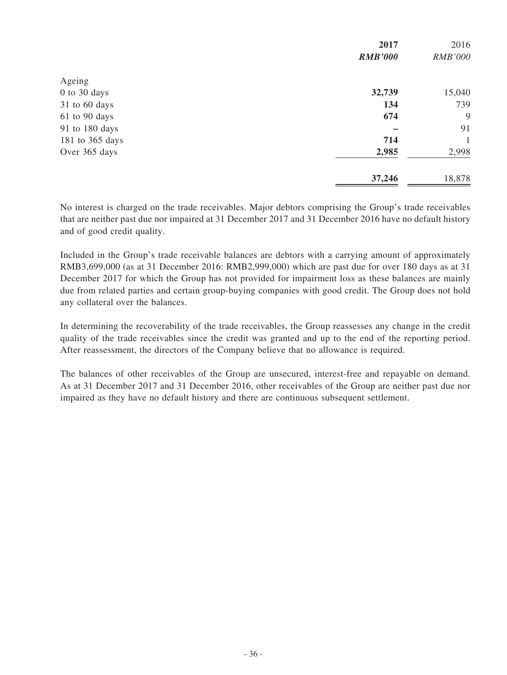|                 | 2017           | 2016           |
|-----------------|----------------|----------------|
|                 | <b>RMB'000</b> | <b>RMB'000</b> |
| Ageing          |                |                |
| 0 to 30 days    | 32,739         | 15,040         |
| 31 to 60 days   | 134            | 739            |
| 61 to 90 days   | 674            | 9              |
| 91 to 180 days  |                | 91             |
| 181 to 365 days | 714            | 1              |
| Over 365 days   | 2,985          | 2,998          |
|                 | 37,246         | 18,878         |

No interest is charged on the trade receivables. Major debtors comprising the Group's trade receivables that are neither past due nor impaired at 31 December 2017 and 31 December 2016 have no default history and of good credit quality.

Included in the Group's trade receivable balances are debtors with a carrying amount of approximately RMB3,699,000 (as at 31 December 2016: RMB2,999,000) which are past due for over 180 days as at 31 December 2017 for which the Group has not provided for impairment loss as these balances are mainly due from related parties and certain group-buying companies with good credit. The Group does not hold any collateral over the balances.

In determining the recoverability of the trade receivables, the Group reassesses any change in the credit quality of the trade receivables since the credit was granted and up to the end of the reporting period. After reassessment, the directors of the Company believe that no allowance is required.

The balances of other receivables of the Group are unsecured, interest-free and repayable on demand. As at 31 December 2017 and 31 December 2016, other receivables of the Group are neither past due nor impaired as they have no default history and there are continuous subsequent settlement.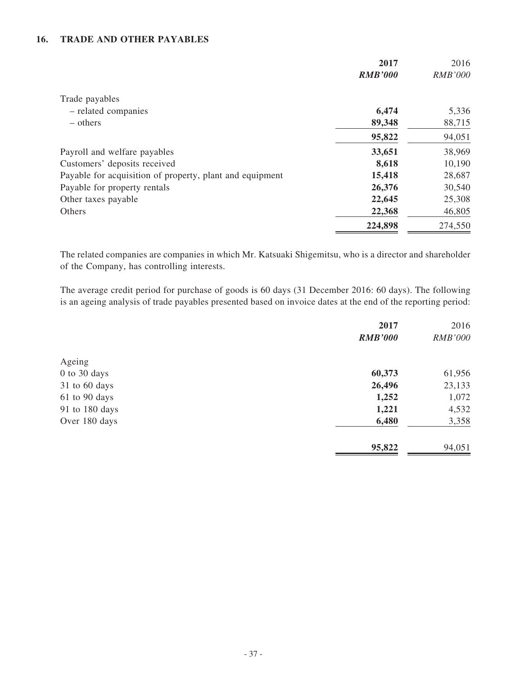### **16. TRADE AND OTHER PAYABLES**

|                                                          | 2017           | 2016           |
|----------------------------------------------------------|----------------|----------------|
|                                                          | <b>RMB'000</b> | <b>RMB'000</b> |
| Trade payables                                           |                |                |
| - related companies                                      | 6,474          | 5,336          |
| $-$ others                                               | 89,348         | 88,715         |
|                                                          | 95,822         | 94,051         |
| Payroll and welfare payables                             | 33,651         | 38,969         |
| Customers' deposits received                             | 8,618          | 10,190         |
| Payable for acquisition of property, plant and equipment | 15,418         | 28,687         |
| Payable for property rentals                             | 26,376         | 30,540         |
| Other taxes payable                                      | 22,645         | 25,308         |
| Others                                                   | 22,368         | 46,805         |
|                                                          | 224,898        | 274,550        |

The related companies are companies in which Mr. Katsuaki Shigemitsu, who is a director and shareholder of the Company, has controlling interests.

The average credit period for purchase of goods is 60 days (31 December 2016: 60 days). The following is an ageing analysis of trade payables presented based on invoice dates at the end of the reporting period:

|                | 2017           | 2016           |
|----------------|----------------|----------------|
|                | <b>RMB'000</b> | <b>RMB'000</b> |
| Ageing         |                |                |
| $0$ to 30 days | 60,373         | 61,956         |
| 31 to 60 days  | 26,496         | 23,133         |
| 61 to 90 days  | 1,252          | 1,072          |
| 91 to 180 days | 1,221          | 4,532          |
| Over 180 days  | 6,480          | 3,358          |
|                | 95,822         | 94,051         |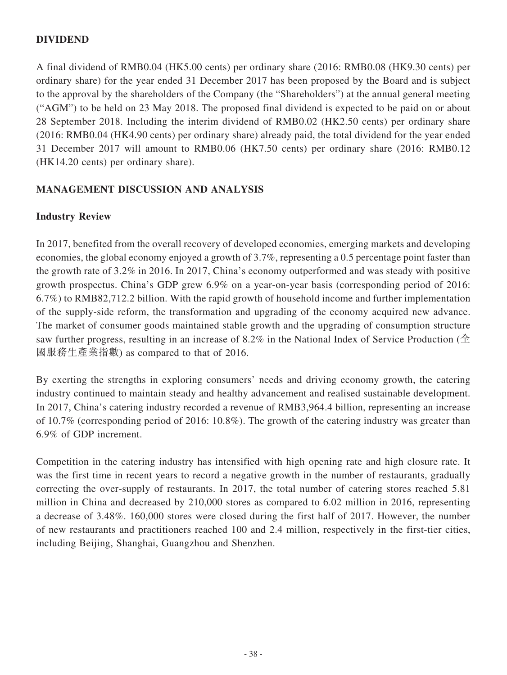# **DIVIDEND**

A final dividend of RMB0.04 (HK5.00 cents) per ordinary share (2016: RMB0.08 (HK9.30 cents) per ordinary share) for the year ended 31 December 2017 has been proposed by the Board and is subject to the approval by the shareholders of the Company (the "Shareholders") at the annual general meeting ("AGM") to be held on 23 May 2018. The proposed final dividend is expected to be paid on or about 28 September 2018. Including the interim dividend of RMB0.02 (HK2.50 cents) per ordinary share (2016: RMB0.04 (HK4.90 cents) per ordinary share) already paid, the total dividend for the year ended 31 December 2017 will amount to RMB0.06 (HK7.50 cents) per ordinary share (2016: RMB0.12 (HK14.20 cents) per ordinary share).

# **MANAGEMENT DISCUSSION AND ANALYSIS**

# **Industry Review**

In 2017, benefited from the overall recovery of developed economies, emerging markets and developing economies, the global economy enjoyed a growth of 3.7%, representing a 0.5 percentage point faster than the growth rate of 3.2% in 2016. In 2017, China's economy outperformed and was steady with positive growth prospectus. China's GDP grew 6.9% on a year-on-year basis (corresponding period of 2016: 6.7%) to RMB82,712.2 billion. With the rapid growth of household income and further implementation of the supply-side reform, the transformation and upgrading of the economy acquired new advance. The market of consumer goods maintained stable growth and the upgrading of consumption structure saw further progress, resulting in an increase of 8.2% in the National Index of Service Production ( $\hat{\pm}$ ) 國服務生產業指數) as compared to that of 2016.

By exerting the strengths in exploring consumers' needs and driving economy growth, the catering industry continued to maintain steady and healthy advancement and realised sustainable development. In 2017, China's catering industry recorded a revenue of RMB3,964.4 billion, representing an increase of 10.7% (corresponding period of 2016: 10.8%). The growth of the catering industry was greater than 6.9% of GDP increment.

Competition in the catering industry has intensified with high opening rate and high closure rate. It was the first time in recent years to record a negative growth in the number of restaurants, gradually correcting the over-supply of restaurants. In 2017, the total number of catering stores reached 5.81 million in China and decreased by 210,000 stores as compared to 6.02 million in 2016, representing a decrease of 3.48%. 160,000 stores were closed during the first half of 2017. However, the number of new restaurants and practitioners reached 100 and 2.4 million, respectively in the first-tier cities, including Beijing, Shanghai, Guangzhou and Shenzhen.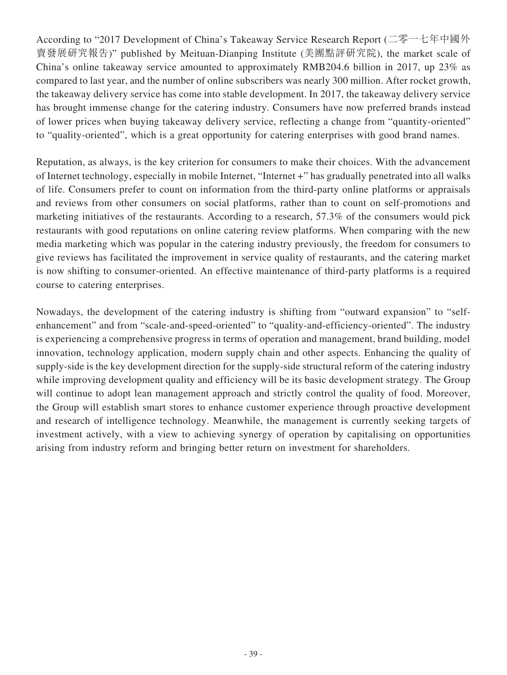According to "2017 Development of China's Takeaway Service Research Report (二零一七年中國外 賣發展研究報告)" published by Meituan-Dianping Institute (美團點評研究院), the market scale of China's online takeaway service amounted to approximately RMB204.6 billion in 2017, up 23% as compared to last year, and the number of online subscribers was nearly 300 million. After rocket growth, the takeaway delivery service has come into stable development. In 2017, the takeaway delivery service has brought immense change for the catering industry. Consumers have now preferred brands instead of lower prices when buying takeaway delivery service, reflecting a change from "quantity-oriented" to "quality-oriented", which is a great opportunity for catering enterprises with good brand names.

Reputation, as always, is the key criterion for consumers to make their choices. With the advancement of Internet technology, especially in mobile Internet, "Internet +" has gradually penetrated into all walks of life. Consumers prefer to count on information from the third-party online platforms or appraisals and reviews from other consumers on social platforms, rather than to count on self-promotions and marketing initiatives of the restaurants. According to a research, 57.3% of the consumers would pick restaurants with good reputations on online catering review platforms. When comparing with the new media marketing which was popular in the catering industry previously, the freedom for consumers to give reviews has facilitated the improvement in service quality of restaurants, and the catering market is now shifting to consumer-oriented. An effective maintenance of third-party platforms is a required course to catering enterprises.

Nowadays, the development of the catering industry is shifting from "outward expansion" to "selfenhancement" and from "scale-and-speed-oriented" to "quality-and-efficiency-oriented". The industry is experiencing a comprehensive progress in terms of operation and management, brand building, model innovation, technology application, modern supply chain and other aspects. Enhancing the quality of supply-side is the key development direction for the supply-side structural reform of the catering industry while improving development quality and efficiency will be its basic development strategy. The Group will continue to adopt lean management approach and strictly control the quality of food. Moreover, the Group will establish smart stores to enhance customer experience through proactive development and research of intelligence technology. Meanwhile, the management is currently seeking targets of investment actively, with a view to achieving synergy of operation by capitalising on opportunities arising from industry reform and bringing better return on investment for shareholders.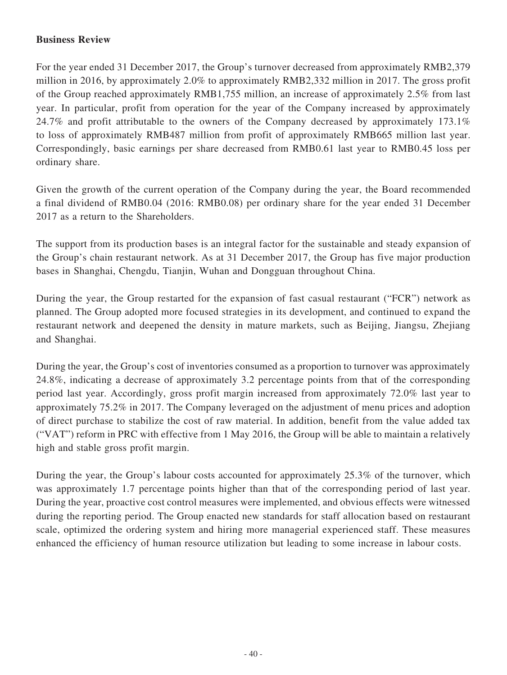# **Business Review**

For the year ended 31 December 2017, the Group's turnover decreased from approximately RMB2,379 million in 2016, by approximately 2.0% to approximately RMB2,332 million in 2017. The gross profit of the Group reached approximately RMB1,755 million, an increase of approximately 2.5% from last year. In particular, profit from operation for the year of the Company increased by approximately 24.7% and profit attributable to the owners of the Company decreased by approximately 173.1% to loss of approximately RMB487 million from profit of approximately RMB665 million last year. Correspondingly, basic earnings per share decreased from RMB0.61 last year to RMB0.45 loss per ordinary share.

Given the growth of the current operation of the Company during the year, the Board recommended a final dividend of RMB0.04 (2016: RMB0.08) per ordinary share for the year ended 31 December 2017 as a return to the Shareholders.

The support from its production bases is an integral factor for the sustainable and steady expansion of the Group's chain restaurant network. As at 31 December 2017, the Group has five major production bases in Shanghai, Chengdu, Tianjin, Wuhan and Dongguan throughout China.

During the year, the Group restarted for the expansion of fast casual restaurant ("FCR") network as planned. The Group adopted more focused strategies in its development, and continued to expand the restaurant network and deepened the density in mature markets, such as Beijing, Jiangsu, Zhejiang and Shanghai.

During the year, the Group's cost of inventories consumed as a proportion to turnover was approximately 24.8%, indicating a decrease of approximately 3.2 percentage points from that of the corresponding period last year. Accordingly, gross profit margin increased from approximately 72.0% last year to approximately 75.2% in 2017. The Company leveraged on the adjustment of menu prices and adoption of direct purchase to stabilize the cost of raw material. In addition, benefit from the value added tax ("VAT") reform in PRC with effective from 1 May 2016, the Group will be able to maintain a relatively high and stable gross profit margin.

During the year, the Group's labour costs accounted for approximately 25.3% of the turnover, which was approximately 1.7 percentage points higher than that of the corresponding period of last year. During the year, proactive cost control measures were implemented, and obvious effects were witnessed during the reporting period. The Group enacted new standards for staff allocation based on restaurant scale, optimized the ordering system and hiring more managerial experienced staff. These measures enhanced the efficiency of human resource utilization but leading to some increase in labour costs.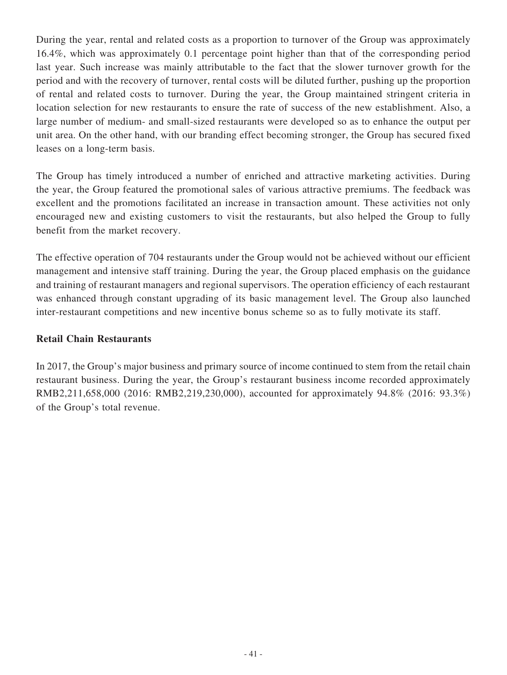During the year, rental and related costs as a proportion to turnover of the Group was approximately 16.4%, which was approximately 0.1 percentage point higher than that of the corresponding period last year. Such increase was mainly attributable to the fact that the slower turnover growth for the period and with the recovery of turnover, rental costs will be diluted further, pushing up the proportion of rental and related costs to turnover. During the year, the Group maintained stringent criteria in location selection for new restaurants to ensure the rate of success of the new establishment. Also, a large number of medium- and small-sized restaurants were developed so as to enhance the output per unit area. On the other hand, with our branding effect becoming stronger, the Group has secured fixed leases on a long-term basis.

The Group has timely introduced a number of enriched and attractive marketing activities. During the year, the Group featured the promotional sales of various attractive premiums. The feedback was excellent and the promotions facilitated an increase in transaction amount. These activities not only encouraged new and existing customers to visit the restaurants, but also helped the Group to fully benefit from the market recovery.

The effective operation of 704 restaurants under the Group would not be achieved without our efficient management and intensive staff training. During the year, the Group placed emphasis on the guidance and training of restaurant managers and regional supervisors. The operation efficiency of each restaurant was enhanced through constant upgrading of its basic management level. The Group also launched inter-restaurant competitions and new incentive bonus scheme so as to fully motivate its staff.

# **Retail Chain Restaurants**

In 2017, the Group's major business and primary source of income continued to stem from the retail chain restaurant business. During the year, the Group's restaurant business income recorded approximately RMB2,211,658,000 (2016: RMB2,219,230,000), accounted for approximately 94.8% (2016: 93.3%) of the Group's total revenue.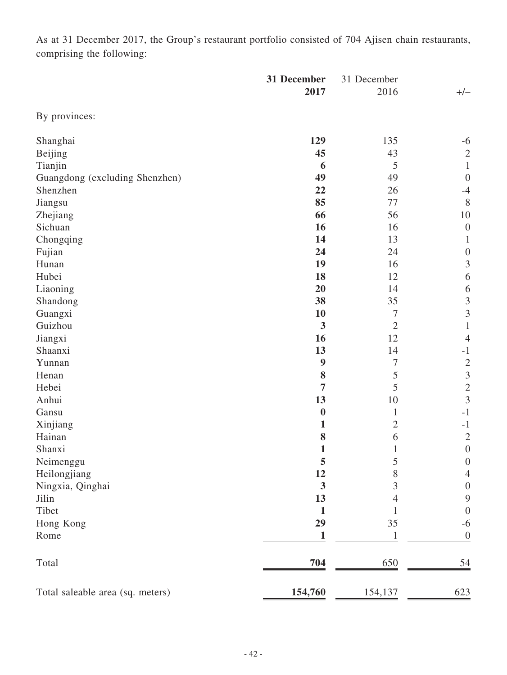As at 31 December 2017, the Group's restaurant portfolio consisted of 704 Ajisen chain restaurants, comprising the following:

|                                  | 31 December      | 31 December    |                  |
|----------------------------------|------------------|----------------|------------------|
|                                  | 2017             | 2016           | $+/-$            |
| By provinces:                    |                  |                |                  |
| Shanghai                         | 129              | 135            | $-6$             |
| Beijing                          | 45               | 43             | $\sqrt{2}$       |
| Tianjin                          | 6                | $\mathfrak{S}$ | $\mathbf{1}$     |
| Guangdong (excluding Shenzhen)   | 49               | 49             | $\theta$         |
| Shenzhen                         | 22               | 26             | $-4$             |
| Jiangsu                          | 85               | 77             | 8                |
| Zhejiang                         | 66               | 56             | 10               |
| Sichuan                          | 16               | 16             | $\boldsymbol{0}$ |
| Chongqing                        | 14               | 13             | $\mathbf{1}$     |
| Fujian                           | 24               | 24             | $\boldsymbol{0}$ |
| Hunan                            | 19               | 16             | $\mathfrak{Z}$   |
| Hubei                            | 18               | 12             | $\sqrt{6}$       |
| Liaoning                         | 20               | 14             | 6                |
| Shandong                         | 38               | 35             | $\mathfrak{Z}$   |
| Guangxi                          | 10               | $\overline{7}$ | $\mathfrak{Z}$   |
| Guizhou                          | $\mathbf{3}$     | $\overline{2}$ | $\mathbf{1}$     |
| Jiangxi                          | 16               | 12             | $\overline{4}$   |
| Shaanxi                          | 13               | 14             | $-1$             |
| Yunnan                           | $\boldsymbol{9}$ | $\tau$         | $\overline{2}$   |
| Henan                            | 8                | 5              | $\mathfrak{Z}$   |
| Hebei                            | 7                | 5              | $\overline{2}$   |
| Anhui                            | 13               | 10             | $\mathfrak{Z}$   |
| Gansu                            | $\boldsymbol{0}$ | $\mathbf{1}$   | $-1$             |
| Xinjiang                         | 1                | $\overline{2}$ | $-1$             |
| Hainan                           | 8                | 6              | $\mathbf{2}$     |
| Shanxi                           | $\mathbf{1}$     | $\mathbf{1}$   | $\boldsymbol{0}$ |
| Neimenggu                        | 5                | 5              | $\boldsymbol{0}$ |
| Heilongjiang                     | 12               | 8              | $\overline{4}$   |
| Ningxia, Qinghai                 | $\mathbf{3}$     | 3              | $\boldsymbol{0}$ |
| Jilin                            | 13               | 4              | 9                |
| Tibet                            | 1                |                | $\boldsymbol{0}$ |
| Hong Kong                        | 29               | 35             | $-6$             |
| Rome                             | 1                | 1              | $\boldsymbol{0}$ |
| Total                            | 704              | 650            | $\frac{54}{ }$   |
| Total saleable area (sq. meters) | 154,760          | 154,137        | 623              |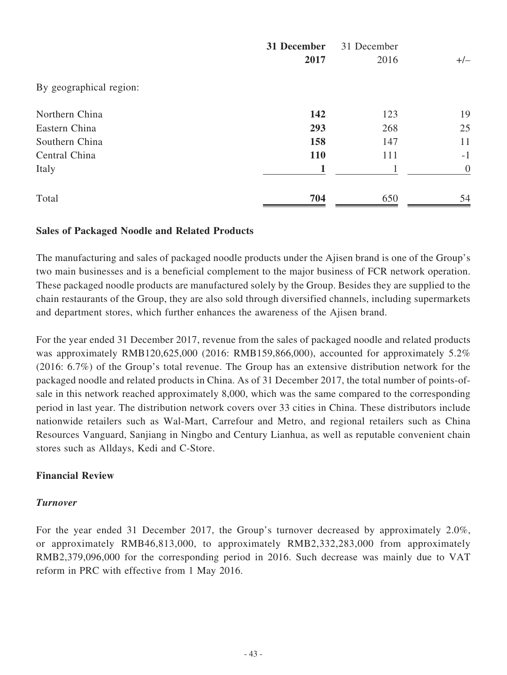|                         | 31 December | 31 December |                |  |
|-------------------------|-------------|-------------|----------------|--|
|                         | 2017        | 2016        | $+/-$          |  |
| By geographical region: |             |             |                |  |
| Northern China          | 142         | 123         | 19             |  |
| Eastern China           | 293         | 268         | 25             |  |
| Southern China          | 158         | 147         | 11             |  |
| Central China           | <b>110</b>  | 111         | $-1$           |  |
| Italy                   | 1           | 1           | $\overline{0}$ |  |
| Total                   | 704         | 650         | 54             |  |

### **Sales of Packaged Noodle and Related Products**

The manufacturing and sales of packaged noodle products under the Ajisen brand is one of the Group's two main businesses and is a beneficial complement to the major business of FCR network operation. These packaged noodle products are manufactured solely by the Group. Besides they are supplied to the chain restaurants of the Group, they are also sold through diversified channels, including supermarkets and department stores, which further enhances the awareness of the Ajisen brand.

For the year ended 31 December 2017, revenue from the sales of packaged noodle and related products was approximately RMB120,625,000 (2016: RMB159,866,000), accounted for approximately 5.2% (2016: 6.7%) of the Group's total revenue. The Group has an extensive distribution network for the packaged noodle and related products in China. As of 31 December 2017, the total number of points-ofsale in this network reached approximately 8,000, which was the same compared to the corresponding period in last year. The distribution network covers over 33 cities in China. These distributors include nationwide retailers such as Wal-Mart, Carrefour and Metro, and regional retailers such as China Resources Vanguard, Sanjiang in Ningbo and Century Lianhua, as well as reputable convenient chain stores such as Alldays, Kedi and C-Store.

### **Financial Review**

### *Turnover*

For the year ended 31 December 2017, the Group's turnover decreased by approximately 2.0%, or approximately RMB46,813,000, to approximately RMB2,332,283,000 from approximately RMB2,379,096,000 for the corresponding period in 2016. Such decrease was mainly due to VAT reform in PRC with effective from 1 May 2016.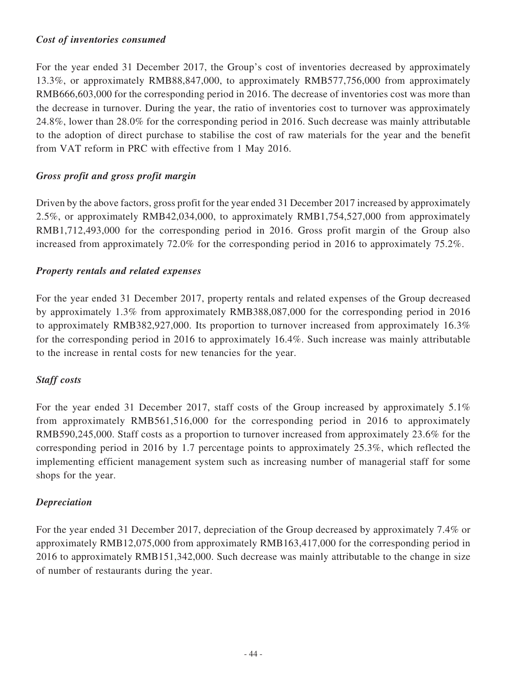### *Cost of inventories consumed*

For the year ended 31 December 2017, the Group's cost of inventories decreased by approximately 13.3%, or approximately RMB88,847,000, to approximately RMB577,756,000 from approximately RMB666,603,000 for the corresponding period in 2016. The decrease of inventories cost was more than the decrease in turnover. During the year, the ratio of inventories cost to turnover was approximately 24.8%, lower than 28.0% for the corresponding period in 2016. Such decrease was mainly attributable to the adoption of direct purchase to stabilise the cost of raw materials for the year and the benefit from VAT reform in PRC with effective from 1 May 2016.

# *Gross profit and gross profit margin*

Driven by the above factors, gross profit for the year ended 31 December 2017 increased by approximately 2.5%, or approximately RMB42,034,000, to approximately RMB1,754,527,000 from approximately RMB1,712,493,000 for the corresponding period in 2016. Gross profit margin of the Group also increased from approximately 72.0% for the corresponding period in 2016 to approximately 75.2%.

# *Property rentals and related expenses*

For the year ended 31 December 2017, property rentals and related expenses of the Group decreased by approximately 1.3% from approximately RMB388,087,000 for the corresponding period in 2016 to approximately RMB382,927,000. Its proportion to turnover increased from approximately 16.3% for the corresponding period in 2016 to approximately 16.4%. Such increase was mainly attributable to the increase in rental costs for new tenancies for the year.

# *Staff costs*

For the year ended 31 December 2017, staff costs of the Group increased by approximately 5.1% from approximately RMB561,516,000 for the corresponding period in 2016 to approximately RMB590,245,000. Staff costs as a proportion to turnover increased from approximately 23.6% for the corresponding period in 2016 by 1.7 percentage points to approximately 25.3%, which reflected the implementing efficient management system such as increasing number of managerial staff for some shops for the year.

# *Depreciation*

For the year ended 31 December 2017, depreciation of the Group decreased by approximately 7.4% or approximately RMB12,075,000 from approximately RMB163,417,000 for the corresponding period in 2016 to approximately RMB151,342,000. Such decrease was mainly attributable to the change in size of number of restaurants during the year.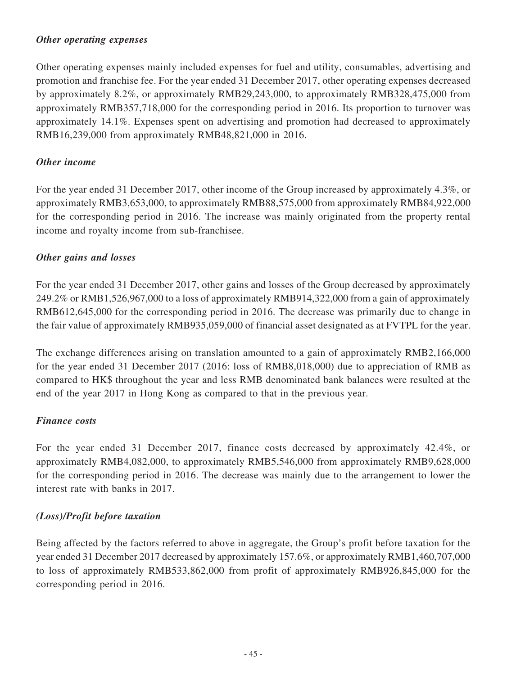# *Other operating expenses*

Other operating expenses mainly included expenses for fuel and utility, consumables, advertising and promotion and franchise fee. For the year ended 31 December 2017, other operating expenses decreased by approximately 8.2%, or approximately RMB29,243,000, to approximately RMB328,475,000 from approximately RMB357,718,000 for the corresponding period in 2016. Its proportion to turnover was approximately 14.1%. Expenses spent on advertising and promotion had decreased to approximately RMB16,239,000 from approximately RMB48,821,000 in 2016.

### *Other income*

For the year ended 31 December 2017, other income of the Group increased by approximately 4.3%, or approximately RMB3,653,000, to approximately RMB88,575,000 from approximately RMB84,922,000 for the corresponding period in 2016. The increase was mainly originated from the property rental income and royalty income from sub-franchisee.

### *Other gains and losses*

For the year ended 31 December 2017, other gains and losses of the Group decreased by approximately 249.2% or RMB1,526,967,000 to a loss of approximately RMB914,322,000 from a gain of approximately RMB612,645,000 for the corresponding period in 2016. The decrease was primarily due to change in the fair value of approximately RMB935,059,000 of financial asset designated as at FVTPL for the year.

The exchange differences arising on translation amounted to a gain of approximately RMB2,166,000 for the year ended 31 December 2017 (2016: loss of RMB8,018,000) due to appreciation of RMB as compared to HK\$ throughout the year and less RMB denominated bank balances were resulted at the end of the year 2017 in Hong Kong as compared to that in the previous year.

# *Finance costs*

For the year ended 31 December 2017, finance costs decreased by approximately 42.4%, or approximately RMB4,082,000, to approximately RMB5,546,000 from approximately RMB9,628,000 for the corresponding period in 2016. The decrease was mainly due to the arrangement to lower the interest rate with banks in 2017.

# *(Loss)/Profit before taxation*

Being affected by the factors referred to above in aggregate, the Group's profit before taxation for the year ended 31 December 2017 decreased by approximately 157.6%, or approximately RMB1,460,707,000 to loss of approximately RMB533,862,000 from profit of approximately RMB926,845,000 for the corresponding period in 2016.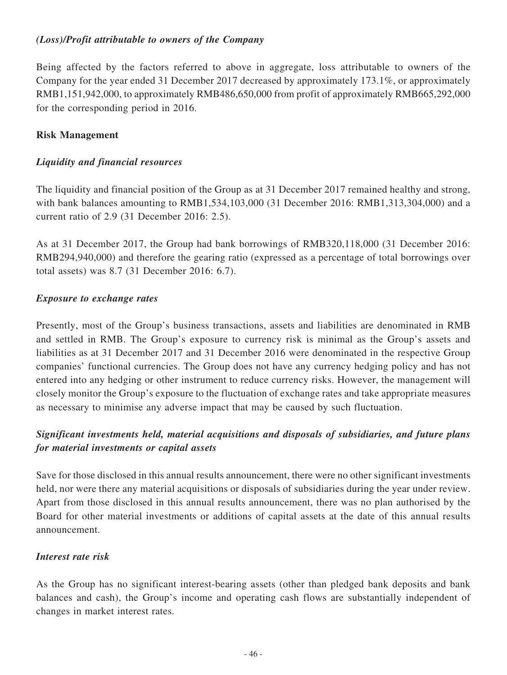# *(Loss)/Profit attributable to owners of the Company*

Being affected by the factors referred to above in aggregate, loss attributable to owners of the Company for the year ended 31 December 2017 decreased by approximately 173.1%, or approximately RMB1,151,942,000, to approximately RMB486,650,000 from profit of approximately RMB665,292,000 for the corresponding period in 2016.

# **Risk Management**

# *Liquidity and financial resources*

The liquidity and financial position of the Group as at 31 December 2017 remained healthy and strong, with bank balances amounting to RMB1,534,103,000 (31 December 2016: RMB1,313,304,000) and a current ratio of 2.9 (31 December 2016: 2.5).

As at 31 December 2017, the Group had bank borrowings of RMB320,118,000 (31 December 2016: RMB294,940,000) and therefore the gearing ratio (expressed as a percentage of total borrowings over total assets) was 8.7 (31 December 2016: 6.7).

# *Exposure to exchange rates*

Presently, most of the Group's business transactions, assets and liabilities are denominated in RMB and settled in RMB. The Group's exposure to currency risk is minimal as the Group's assets and liabilities as at 31 December 2017 and 31 December 2016 were denominated in the respective Group companies' functional currencies. The Group does not have any currency hedging policy and has not entered into any hedging or other instrument to reduce currency risks. However, the management will closely monitor the Group's exposure to the fluctuation of exchange rates and take appropriate measures as necessary to minimise any adverse impact that may be caused by such fluctuation.

# *Significant investments held, material acquisitions and disposals of subsidiaries, and future plans for material investments or capital assets*

Save for those disclosed in this annual results announcement, there were no other significant investments held, nor were there any material acquisitions or disposals of subsidiaries during the year under review. Apart from those disclosed in this annual results announcement, there was no plan authorised by the Board for other material investments or additions of capital assets at the date of this annual results announcement.

# *Interest rate risk*

As the Group has no significant interest-bearing assets (other than pledged bank deposits and bank balances and cash), the Group's income and operating cash flows are substantially independent of changes in market interest rates.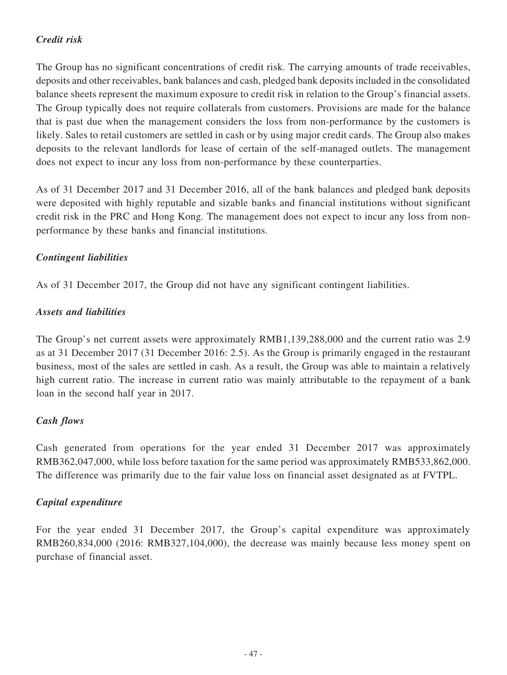# *Credit risk*

The Group has no significant concentrations of credit risk. The carrying amounts of trade receivables, deposits and other receivables, bank balances and cash, pledged bank deposits included in the consolidated balance sheets represent the maximum exposure to credit risk in relation to the Group's financial assets. The Group typically does not require collaterals from customers. Provisions are made for the balance that is past due when the management considers the loss from non-performance by the customers is likely. Sales to retail customers are settled in cash or by using major credit cards. The Group also makes deposits to the relevant landlords for lease of certain of the self-managed outlets. The management does not expect to incur any loss from non-performance by these counterparties.

As of 31 December 2017 and 31 December 2016, all of the bank balances and pledged bank deposits were deposited with highly reputable and sizable banks and financial institutions without significant credit risk in the PRC and Hong Kong. The management does not expect to incur any loss from nonperformance by these banks and financial institutions.

# *Contingent liabilities*

As of 31 December 2017, the Group did not have any significant contingent liabilities.

# *Assets and liabilities*

The Group's net current assets were approximately RMB1,139,288,000 and the current ratio was 2.9 as at 31 December 2017 (31 December 2016: 2.5). As the Group is primarily engaged in the restaurant business, most of the sales are settled in cash. As a result, the Group was able to maintain a relatively high current ratio. The increase in current ratio was mainly attributable to the repayment of a bank loan in the second half year in 2017.

# *Cash flows*

Cash generated from operations for the year ended 31 December 2017 was approximately RMB362,047,000, while loss before taxation for the same period was approximately RMB533,862,000. The difference was primarily due to the fair value loss on financial asset designated as at FVTPL.

# *Capital expenditure*

For the year ended 31 December 2017, the Group's capital expenditure was approximately RMB260,834,000 (2016: RMB327,104,000), the decrease was mainly because less money spent on purchase of financial asset.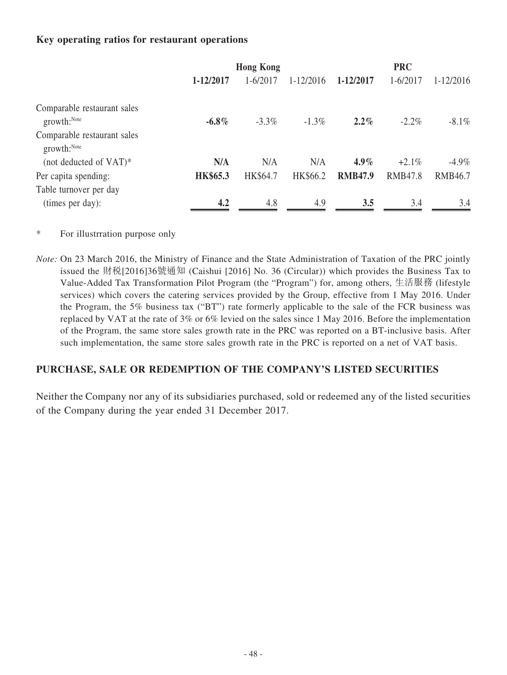# **Key operating ratios for restaurant operations**

|                                                          | <b>Hong Kong</b> |              |               | <b>PRC</b>     |                |                |
|----------------------------------------------------------|------------------|--------------|---------------|----------------|----------------|----------------|
|                                                          | 1-12/2017        | $1 - 6/2017$ | $1 - 12/2016$ | 1-12/2017      | $1 - 6/2017$   | $1 - 12/2016$  |
| Comparable restaurant sales<br>growth: <sup>Note</sup>   | $-6.8\%$         | $-3.3\%$     | $-1.3\%$      | $2.2\%$        | $-2.2\%$       | $-8.1\%$       |
| Comparable restaurant sales<br>$growth:$ <sup>Note</sup> |                  |              |               |                |                |                |
| (not deducted of $VAT$ )*                                | N/A              | N/A          | N/A           | $4.9\%$        | $+2.1\%$       | $-4.9\%$       |
| Per capita spending:                                     | <b>HK\$65.3</b>  | HK\$64.7     | HK\$66.2      | <b>RMB47.9</b> | <b>RMB47.8</b> | <b>RMB46.7</b> |
| Table turnover per day                                   |                  |              |               |                |                |                |
| (times per day):                                         | 4.2              | 4.8          | 4.9           | 3.5            | 3.4            | 3.4            |

\* For illustrration purpose only

*Note:* On 23 March 2016, the Ministry of Finance and the State Administration of Taxation of the PRC jointly issued the 財税[2016]36號通知 (Caishui [2016] No. 36 (Circular)) which provides the Business Tax to Value-Added Tax Transformation Pilot Program (the "Program") for, among others, 生活服務 (lifestyle services) which covers the catering services provided by the Group, effective from 1 May 2016. Under the Program, the 5% business tax ("BT") rate formerly applicable to the sale of the FCR business was replaced by VAT at the rate of 3% or 6% levied on the sales since 1 May 2016. Before the implementation of the Program, the same store sales growth rate in the PRC was reported on a BT-inclusive basis. After such implementation, the same store sales growth rate in the PRC is reported on a net of VAT basis.

# **PURCHASE, SALE OR REDEMPTION OF THE COMPANY'S LISTED SECURITIES**

Neither the Company nor any of its subsidiaries purchased, sold or redeemed any of the listed securities of the Company during the year ended 31 December 2017.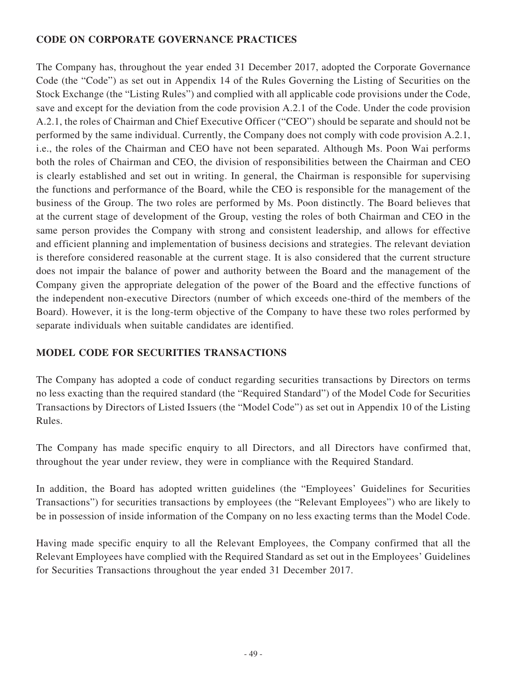# **CODE ON CORPORATE GOVERNANCE PRACTICES**

The Company has, throughout the year ended 31 December 2017, adopted the Corporate Governance Code (the "Code") as set out in Appendix 14 of the Rules Governing the Listing of Securities on the Stock Exchange (the "Listing Rules") and complied with all applicable code provisions under the Code, save and except for the deviation from the code provision A.2.1 of the Code. Under the code provision A.2.1, the roles of Chairman and Chief Executive Officer ("CEO") should be separate and should not be performed by the same individual. Currently, the Company does not comply with code provision A.2.1, i.e., the roles of the Chairman and CEO have not been separated. Although Ms. Poon Wai performs both the roles of Chairman and CEO, the division of responsibilities between the Chairman and CEO is clearly established and set out in writing. In general, the Chairman is responsible for supervising the functions and performance of the Board, while the CEO is responsible for the management of the business of the Group. The two roles are performed by Ms. Poon distinctly. The Board believes that at the current stage of development of the Group, vesting the roles of both Chairman and CEO in the same person provides the Company with strong and consistent leadership, and allows for effective and efficient planning and implementation of business decisions and strategies. The relevant deviation is therefore considered reasonable at the current stage. It is also considered that the current structure does not impair the balance of power and authority between the Board and the management of the Company given the appropriate delegation of the power of the Board and the effective functions of the independent non-executive Directors (number of which exceeds one-third of the members of the Board). However, it is the long-term objective of the Company to have these two roles performed by separate individuals when suitable candidates are identified.

# **MODEL CODE FOR SECURITIES TRANSACTIONS**

The Company has adopted a code of conduct regarding securities transactions by Directors on terms no less exacting than the required standard (the "Required Standard") of the Model Code for Securities Transactions by Directors of Listed Issuers (the "Model Code") as set out in Appendix 10 of the Listing Rules.

The Company has made specific enquiry to all Directors, and all Directors have confirmed that, throughout the year under review, they were in compliance with the Required Standard.

In addition, the Board has adopted written guidelines (the "Employees' Guidelines for Securities Transactions") for securities transactions by employees (the "Relevant Employees") who are likely to be in possession of inside information of the Company on no less exacting terms than the Model Code.

Having made specific enquiry to all the Relevant Employees, the Company confirmed that all the Relevant Employees have complied with the Required Standard as set out in the Employees' Guidelines for Securities Transactions throughout the year ended 31 December 2017.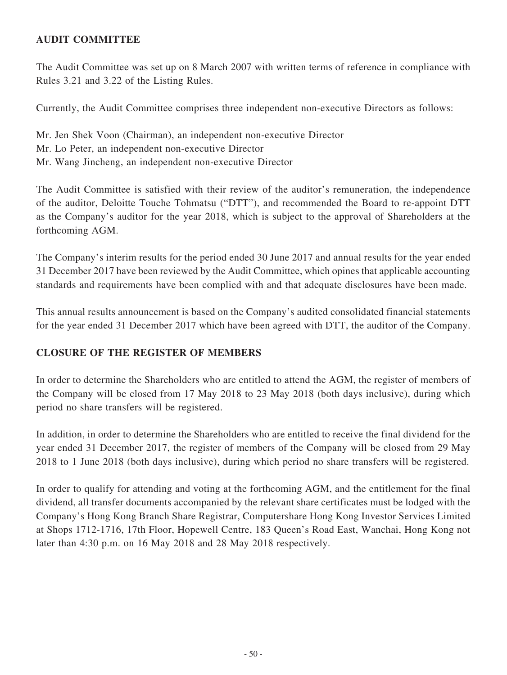# **AUDIT COMMITTEE**

The Audit Committee was set up on 8 March 2007 with written terms of reference in compliance with Rules 3.21 and 3.22 of the Listing Rules.

Currently, the Audit Committee comprises three independent non-executive Directors as follows:

Mr. Jen Shek Voon (Chairman), an independent non-executive Director Mr. Lo Peter, an independent non-executive Director Mr. Wang Jincheng, an independent non-executive Director

The Audit Committee is satisfied with their review of the auditor's remuneration, the independence of the auditor, Deloitte Touche Tohmatsu ("DTT"), and recommended the Board to re-appoint DTT as the Company's auditor for the year 2018, which is subject to the approval of Shareholders at the forthcoming AGM.

The Company's interim results for the period ended 30 June 2017 and annual results for the year ended 31 December 2017 have been reviewed by the Audit Committee, which opines that applicable accounting standards and requirements have been complied with and that adequate disclosures have been made.

This annual results announcement is based on the Company's audited consolidated financial statements for the year ended 31 December 2017 which have been agreed with DTT, the auditor of the Company.

# **CLOSURE OF THE REGISTER OF MEMBERS**

In order to determine the Shareholders who are entitled to attend the AGM, the register of members of the Company will be closed from 17 May 2018 to 23 May 2018 (both days inclusive), during which period no share transfers will be registered.

In addition, in order to determine the Shareholders who are entitled to receive the final dividend for the year ended 31 December 2017, the register of members of the Company will be closed from 29 May 2018 to 1 June 2018 (both days inclusive), during which period no share transfers will be registered.

In order to qualify for attending and voting at the forthcoming AGM, and the entitlement for the final dividend, all transfer documents accompanied by the relevant share certificates must be lodged with the Company's Hong Kong Branch Share Registrar, Computershare Hong Kong Investor Services Limited at Shops 1712-1716, 17th Floor, Hopewell Centre, 183 Queen's Road East, Wanchai, Hong Kong not later than 4:30 p.m. on 16 May 2018 and 28 May 2018 respectively.